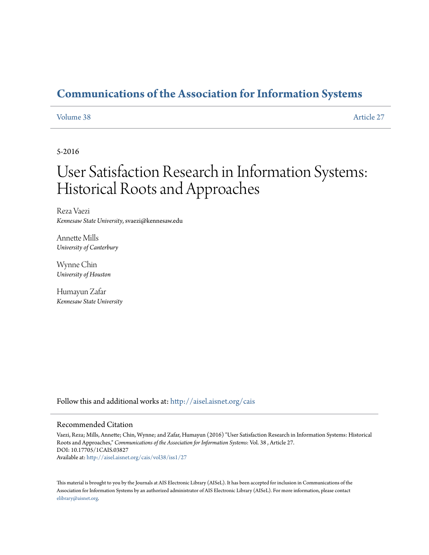# **[Communications of the Association for Information Systems](http://aisel.aisnet.org/cais?utm_source=aisel.aisnet.org%2Fcais%2Fvol38%2Fiss1%2F27&utm_medium=PDF&utm_campaign=PDFCoverPages)**

[Volume 38](http://aisel.aisnet.org/cais/vol38?utm_source=aisel.aisnet.org%2Fcais%2Fvol38%2Fiss1%2F27&utm_medium=PDF&utm_campaign=PDFCoverPages) [Article 27](http://aisel.aisnet.org/cais/vol38/iss1/27?utm_source=aisel.aisnet.org%2Fcais%2Fvol38%2Fiss1%2F27&utm_medium=PDF&utm_campaign=PDFCoverPages)

5-2016

# User Satisfaction Research in Information Systems: Historical Roots and Approaches

Reza Vaezi *Kennesaw State University*, svaezi@kennesaw.edu

Annette Mills *University of Canterbury*

Wynne Chin *University of Houston*

Humayun Zafar *Kennesaw State University*

Follow this and additional works at: [http://aisel.aisnet.org/cais](http://aisel.aisnet.org/cais?utm_source=aisel.aisnet.org%2Fcais%2Fvol38%2Fiss1%2F27&utm_medium=PDF&utm_campaign=PDFCoverPages)

#### Recommended Citation

Vaezi, Reza; Mills, Annette; Chin, Wynne; and Zafar, Humayun (2016) "User Satisfaction Research in Information Systems: Historical Roots and Approaches," *Communications of the Association for Information Systems*: Vol. 38 , Article 27. DOI: 10.17705/1CAIS.03827 Available at: [http://aisel.aisnet.org/cais/vol38/iss1/27](http://aisel.aisnet.org/cais/vol38/iss1/27?utm_source=aisel.aisnet.org%2Fcais%2Fvol38%2Fiss1%2F27&utm_medium=PDF&utm_campaign=PDFCoverPages)

This material is brought to you by the Journals at AIS Electronic Library (AISeL). It has been accepted for inclusion in Communications of the Association for Information Systems by an authorized administrator of AIS Electronic Library (AISeL). For more information, please contact [elibrary@aisnet.org.](mailto:elibrary@aisnet.org%3E)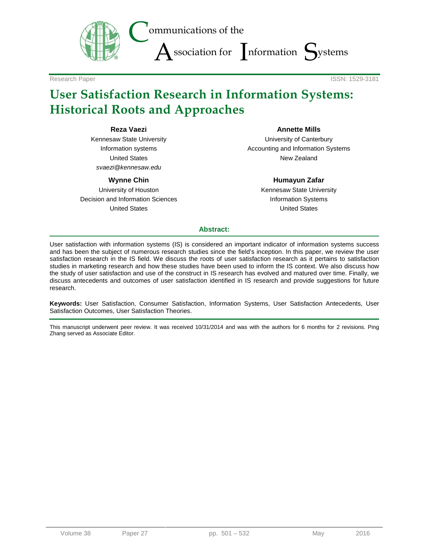

**Research Paper** ISSN: 1529-3181

# **User Satisfaction Research in Information Systems: Historical Roots and Approaches**

#### **Reza Vaezi**

Kennesaw State University Information systems United States *svaezi@kennesaw.edu*

#### **Wynne Chin**

University of Houston Decision and Information Sciences United States

#### **Annette Mills**

University of Canterbury Accounting and Information Systems New Zealand

#### **Humayun Zafar**

Kennesaw State University Information Systems United States

#### **Abstract:**

User satisfaction with information systems (IS) is considered an important indicator of information systems success and has been the subject of numerous research studies since the field's inception. In this paper, we review the user satisfaction research in the IS field. We discuss the roots of user satisfaction research as it pertains to satisfaction studies in marketing research and how these studies have been used to inform the IS context. We also discuss how the study of user satisfaction and use of the construct in IS research has evolved and matured over time. Finally, we discuss antecedents and outcomes of user satisfaction identified in IS research and provide suggestions for future research.

**Keywords:** User Satisfaction, Consumer Satisfaction, Information Systems, User Satisfaction Antecedents, User Satisfaction Outcomes, User Satisfaction Theories.

This manuscript underwent peer review. It was received 10/31/2014 and was with the authors for 6 months for 2 revisions. Ping Zhang served as Associate Editor.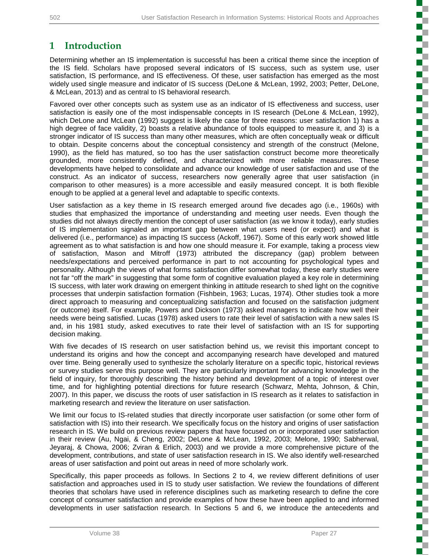П.

n T 己

T.

E.

T

S

Z

5

t

# **1 Introduction**

Determining whether an IS implementation is successful has been a critical theme since the inception of the IS field. Scholars have proposed several indicators of IS success, such as system use, user satisfaction, IS performance, and IS effectiveness. Of these, user satisfaction has emerged as the most widely used single measure and indicator of IS success (DeLone & McLean, 1992, 2003; Petter, DeLone, & McLean, 2013) and as central to IS behavioral research.

Favored over other concepts such as system use as an indicator of IS effectiveness and success, user satisfaction is easily one of the most indispensable concepts in IS research (DeLone & McLean, 1992), which DeLone and McLean (1992) suggest is likely the case for three reasons: user satisfaction 1) has a high degree of face validity, 2) boasts a relative abundance of tools equipped to measure it, and 3) is a stronger indicator of IS success than many other measures, which are often conceptually weak or difficult to obtain. Despite concerns about the conceptual consistency and strength of the construct (Melone, 1990), as the field has matured, so too has the user satisfaction construct become more theoretically grounded, more consistently defined, and characterized with more reliable measures. These developments have helped to consolidate and advance our knowledge of user satisfaction and use of the construct. As an indicator of success, researchers now generally agree that user satisfaction (in comparison to other measures) is a more accessible and easily measured concept. It is both flexible enough to be applied at a general level and adaptable to specific contexts.

User satisfaction as a key theme in IS research emerged around five decades ago (i.e., 1960s) with studies that emphasized the importance of understanding and meeting user needs. Even though the studies did not always directly mention the concept of user satisfaction (as we know it today), early studies of IS implementation signaled an important gap between what users need (or expect) and what is delivered (i.e., performance) as impacting IS success (Ackoff, 1967). Some of this early work showed little agreement as to what satisfaction is and how one should measure it. For example, taking a process view of satisfaction, Mason and Mitroff (1973) attributed the discrepancy (gap) problem between needs/expectations and perceived performance in part to not accounting for psychological types and personality. Although the views of what forms satisfaction differ somewhat today, these early studies were not far "off the mark" in suggesting that some form of cognitive evaluation played a key role in determining IS success, with later work drawing on emergent thinking in attitude research to shed light on the cognitive processes that underpin satisfaction formation (Fishbein, 1963; Lucas, 1974). Other studies took a more direct approach to measuring and conceptualizing satisfaction and focused on the satisfaction judgment (or outcome) itself. For example, Powers and Dickson (1973) asked managers to indicate how well their needs were being satisfied. Lucas (1978) asked users to rate their level of satisfaction with a new sales IS and, in his 1981 study, asked executives to rate their level of satisfaction with an IS for supporting decision making.

With five decades of IS research on user satisfaction behind us, we revisit this important concept to understand its origins and how the concept and accompanying research have developed and matured over time. Being generally used to synthesize the scholarly literature on a specific topic, historical reviews or survey studies serve this purpose well. They are particularly important for advancing knowledge in the field of inquiry, for thoroughly describing the history behind and development of a topic of interest over time, and for highlighting potential directions for future research (Schwarz, Mehta, Johnson, & Chin, 2007). In this paper, we discuss the roots of user satisfaction in IS research as it relates to satisfaction in marketing research and review the literature on user satisfaction.

We limit our focus to IS-related studies that directly incorporate user satisfaction (or some other form of satisfaction with IS) into their research. We specifically focus on the history and origins of user satisfaction research in IS. We build on previous review papers that have focused on or incorporated user satisfaction in their review (Au, Ngai, & Cheng, 2002; DeLone & McLean, 1992, 2003; Melone, 1990; Sabherwal, Jeyaraj, & Chowa, 2006; Zviran & Erlich, 2003) and we provide a more comprehensive picture of the development, contributions, and state of user satisfaction research in IS. We also identify well-researched areas of user satisfaction and point out areas in need of more scholarly work.

Specifically, this paper proceeds as follows. In Sections 2 to 4, we review different definitions of user satisfaction and approaches used in IS to study user satisfaction. We review the foundations of different theories that scholars have used in reference disciplines such as marketing research to define the core concept of consumer satisfaction and provide examples of how these have been applied to and informed developments in user satisfaction research. In Sections 5 and 6, we introduce the antecedents and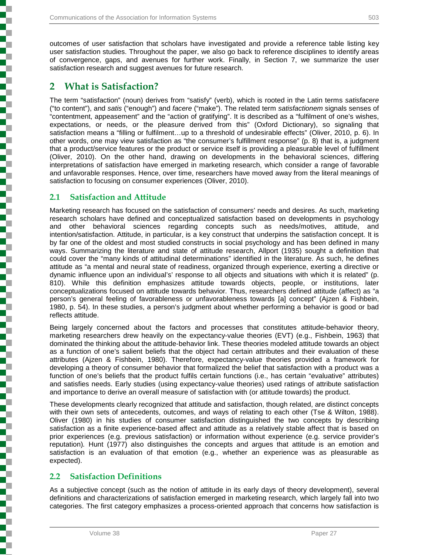outcomes of user satisfaction that scholars have investigated and provide a reference table listing key user satisfaction studies. Throughout the paper, we also go back to reference disciplines to identify areas of convergence, gaps, and avenues for further work. Finally, in Section 7, we summarize the user satisfaction research and suggest avenues for future research.

# **2 What is Satisfaction?**

The term "satisfaction" (noun) derives from "satisfy" (verb), which is rooted in the Latin terms *satisfacere*  ("to content"), and *satis* ("enough") and *facere* ("make"). The related term *satisfactionem* signals senses of "contentment, appeasement" and the "action of gratifying". It is described as a "fulfilment of one's wishes, expectations, or needs, or the pleasure derived from this" (Oxford Dictionary), so signaling that satisfaction means a "filling or fulfilment…up to a threshold of undesirable effects" (Oliver, 2010, p. 6). In other words, one may view satisfaction as "the consumer's fulfillment response" (p. 8) that is, a judgment that a product/service features or the product or service itself is providing a pleasurable level of fulfillment (Oliver, 2010). On the other hand, drawing on developments in the behavioral sciences, differing interpretations of satisfaction have emerged in marketing research, which consider a range of favorable and unfavorable responses. Hence, over time, researchers have moved away from the literal meanings of satisfaction to focusing on consumer experiences (Oliver, 2010).

#### **2.1 Satisfaction and Attitude**

į

j

Marketing research has focused on the satisfaction of consumers' needs and desires. As such, marketing research scholars have defined and conceptualized satisfaction based on developments in psychology and other behavioral sciences regarding concepts such as needs/motives, attitude, and intention/satisfaction. Attitude, in particular, is a key construct that underpins the satisfaction concept. It is by far one of the oldest and most studied constructs in social psychology and has been defined in many ways. Summarizing the literature and state of attitude research, Allport (1935) sought a definition that could cover the "many kinds of attitudinal determinations" identified in the literature. As such, he defines attitude as "a mental and neural state of readiness, organized through experience, exerting a directive or dynamic influence upon an individual's' response to all objects and situations with which it is related" (p. 810). While this definition emphasizes attitude towards objects, people, or institutions, later conceptualizations focused on attitude towards behavior*.* Thus, researchers defined attitude (affect) as "a person's general feeling of favorableness or unfavorableness towards [a] concept" (Ajzen & Fishbein, 1980, p. 54). In these studies, a person's judgment about whether performing a behavior is good or bad reflects attitude.

Being largely concerned about the factors and processes that constitutes attitude-behavior theory, marketing researchers drew heavily on the expectancy-value theories (EVT) (e.g., Fishbein, 1963) that dominated the thinking about the attitude-behavior link. These theories modeled attitude towards an object as a function of one's salient beliefs that the object had certain attributes and their evaluation of these attributes (Ajzen & Fishbein, 1980). Therefore, expectancy-value theories provided a framework for developing a theory of consumer behavior that formalized the belief that satisfaction with a product was a function of one's beliefs that the product fulfils certain functions (i.e., has certain "evaluative" attributes) and satisfies needs. Early studies (using expectancy-value theories) used ratings of attribute satisfaction and importance to derive an overall measure of satisfaction with (or attitude towards) the product.

These developments clearly recognized that attitude and satisfaction, though related, are distinct concepts with their own sets of antecedents, outcomes, and ways of relating to each other (Tse & Wilton, 1988). Oliver (1980) in his studies of consumer satisfaction distinguished the two concepts by describing satisfaction as a finite experience-based affect and attitude as a relatively stable affect that is based on prior experiences (e.g. previous satisfaction) or information without experience (e.g. service provider's reputation)*.* Hunt (1977) also distinguishes the concepts and argues that attitude is an emotion and satisfaction is an evaluation of that emotion (e.g., whether an experience was as pleasurable as expected).

#### **2.2 Satisfaction Definitions**

As a subjective concept (such as the notion of attitude in its early days of theory development), several definitions and characterizations of satisfaction emerged in marketing research, which largely fall into two categories. The first category emphasizes a process-oriented approach that concerns how satisfaction is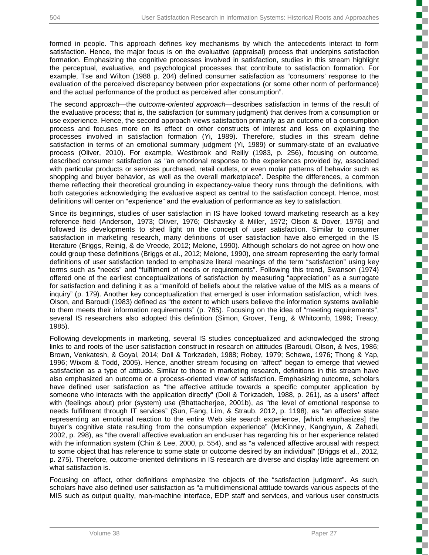ì

n T

ê

Ş

T

5

Ł

ŝ

formed in people. This approach defines key mechanisms by which the antecedents interact to form satisfaction. Hence, the major focus is on the evaluative (appraisal) process that underpins satisfaction formation. Emphasizing the cognitive processes involved in satisfaction, studies in this stream highlight the perceptual, evaluative, and psychological processes that contribute to satisfaction formation. For example, Tse and Wilton (1988 p. 204) defined consumer satisfaction as "consumers' response to the evaluation of the perceived discrepancy between prior expectations (or some other norm of performance) and the actual performance of the product as perceived after consumption".

The second approach—the *outcome-oriented approach*—describes satisfaction in terms of the result of the evaluative process; that is, the satisfaction (or summary judgment) that derives from a consumption or use experience. Hence, the second approach views satisfaction primarily as an outcome of a consumption process and focuses more on its effect on other constructs of interest and less on explaining the processes involved in satisfaction formation (Yi, 1989). Therefore, studies in this stream define satisfaction in terms of an emotional summary judgment (Yi, 1989) or summary-state of an evaluative process (Oliver, 2010). For example, Westbrook and Reilly (1983, p. 256), focusing on outcome, described consumer satisfaction as "an emotional response to the experiences provided by, associated with particular products or services purchased, retail outlets, or even molar patterns of behavior such as shopping and buyer behavior, as well as the overall marketplace". Despite the differences, a common theme reflecting their theoretical grounding in expectancy-value theory runs through the definitions, with both categories acknowledging the evaluative aspect as central to the satisfaction concept. Hence, most definitions will center on "experience" and the evaluation of performance as key to satisfaction.

Since its beginnings, studies of user satisfaction in IS have looked toward marketing research as a key reference field (Anderson, 1973; Oliver, 1976; Olshavsky & Miller, 1972; Olson & Dover, 1976) and followed its developments to shed light on the concept of user satisfaction. Similar to consumer satisfaction in marketing research, many definitions of user satisfaction have also emerged in the IS literature (Briggs, Reinig, & de Vreede, 2012; Melone, 1990). Although scholars do not agree on how one could group these definitions (Briggs et al., 2012; Melone, 1990), one stream representing the early formal definitions of user satisfaction tended to emphasize literal meanings of the term "satisfaction" using key terms such as "needs" and "fulfilment of needs or requirements". Following this trend, Swanson (1974) offered one of the earliest conceptualizations of satisfaction by measuring "appreciation" as a surrogate for satisfaction and defining it as a "manifold of beliefs about the relative value of the MIS as a means of inquiry" (p. 179). Another key conceptualization that emerged is user information satisfaction, which Ives, Olson, and Baroudi (1983) defined as "the extent to which users believe the information systems available to them meets their information requirements" (p. 785). Focusing on the idea of "meeting requirements", several IS researchers also adopted this definition (Simon, Grover, Teng, & Whitcomb, 1996; Treacy, 1985).

Following developments in marketing, several IS studies conceptualized and acknowledged the strong links to and roots of the user satisfaction construct in research on attitudes (Baroudi, Olson, & Ives, 1986; Brown, Venkatesh, & Goyal, 2014; Doll & Torkzadeh, 1988; Robey, 1979; Schewe, 1976; Thong & Yap, 1996; Wixom & Todd, 2005). Hence, another stream focusing on "affect" began to emerge that viewed satisfaction as a type of attitude. Similar to those in marketing research, definitions in this stream have also emphasized an outcome or a process-oriented view of satisfaction. Emphasizing outcome, scholars have defined user satisfaction as "the affective attitude towards a specific computer application by someone who interacts with the application directly" (Doll & Torkzadeh, 1988, p. 261), as a users' affect with (feelings about) prior (system) use (Bhattacherjee, 2001b), as "the level of emotional response to needs fulfillment through IT services" (Sun, Fang, Lim, & Straub, 2012, p. 1198), as "an affective state representing an emotional reaction to the entire Web site search experience, [which emphasizes] the buyer's cognitive state resulting from the consumption experience" (McKinney, Kanghyun, & Zahedi, 2002, p. 298), as "the overall affective evaluation an end-user has regarding his or her experience related with the information system (Chin & Lee, 2000, p. 554), and as "a valenced affective arousal with respect to some object that has reference to some state or outcome desired by an individual" (Briggs et al., 2012, p. 275). Therefore, outcome-oriented definitions in IS research are diverse and display little agreement on what satisfaction is.

Focusing on affect, other definitions emphasize the objects of the "satisfaction judgment". As such, scholars have also defined user satisfaction as "a multidimensional attitude towards various aspects of the MIS such as output quality, man-machine interface, EDP staff and services, and various user constructs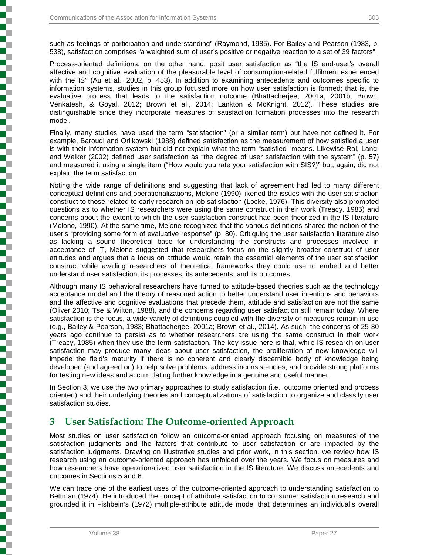j

**Contractor** 

such as feelings of participation and understanding" (Raymond, 1985). For Bailey and Pearson (1983, p. 538), satisfaction comprises "a weighted sum of user's positive or negative reaction to a set of 39 factors".

Process-oriented definitions, on the other hand, posit user satisfaction as "the IS end-user's overall affective and cognitive evaluation of the pleasurable level of consumption-related fulfilment experienced with the IS" (Au et al., 2002, p. 453). In addition to examining antecedents and outcomes specific to information systems, studies in this group focused more on how user satisfaction is formed; that is, the evaluative process that leads to the satisfaction outcome (Bhattacherjee, 2001a, 2001b; Brown, Venkatesh, & Goyal, 2012; Brown et al., 2014; Lankton & McKnight, 2012). These studies are distinguishable since they incorporate measures of satisfaction formation processes into the research model.

Finally, many studies have used the term "satisfaction" (or a similar term) but have not defined it. For example, Baroudi and Orlikowski (1988) defined satisfaction as the measurement of how satisfied a user is with their information system but did not explain what the term "satisfied" means. Likewise Rai, Lang, and Welker (2002) defined user satisfaction as "the degree of user satisfaction with the system" (p. 57) and measured it using a single item ("How would you rate your satisfaction with SIS?)" but, again, did not explain the term satisfaction.

Noting the wide range of definitions and suggesting that lack of agreement had led to many different conceptual definitions and operationalizations, Melone (1990) likened the issues with the user satisfaction construct to those related to early research on job satisfaction (Locke, 1976). This diversity also prompted questions as to whether IS researchers were using the same construct in their work (Treacy, 1985) and concerns about the extent to which the user satisfaction construct had been theorized in the IS literature (Melone, 1990). At the same time, Melone recognized that the various definitions shared the notion of the user's "providing some form of evaluative response" (p. 80). Critiquing the user satisfaction literature also as lacking a sound theoretical base for understanding the constructs and processes involved in acceptance of IT, Melone suggested that researchers focus on the slightly broader construct of user attitudes and argues that a focus on attitude would retain the essential elements of the user satisfaction construct while availing researchers of theoretical frameworks they could use to embed and better understand user satisfaction, its processes, its antecedents, and its outcomes.

Although many IS behavioral researchers have turned to attitude-based theories such as the technology acceptance model and the theory of reasoned action to better understand user intentions and behaviors and the affective and cognitive evaluations that precede them, attitude and satisfaction are not the same (Oliver 2010; Tse & Wilton, 1988), and the concerns regarding user satisfaction still remain today. Where satisfaction is the focus, a wide variety of definitions coupled with the diversity of measures remain in use (e.g., Bailey & Pearson, 1983; Bhattacherjee, 2001a; Brown et al., 2014). As such, the concerns of 25-30 years ago continue to persist as to whether researchers are using the same construct in their work (Treacy, 1985) when they use the term satisfaction. The key issue here is that, while IS research on user satisfaction may produce many ideas about user satisfaction, the proliferation of new knowledge will impede the field's maturity if there is no coherent and clearly discernible body of knowledge being developed (and agreed on) to help solve problems, address inconsistencies, and provide strong platforms for testing new ideas and accumulating further knowledge in a genuine and useful manner.

In Section 3, we use the two primary approaches to study satisfaction (i.e., outcome oriented and process oriented) and their underlying theories and conceptualizations of satisfaction to organize and classify user satisfaction studies.

# **3 User Satisfaction: The Outcome-oriented Approach**

Most studies on user satisfaction follow an outcome-oriented approach focusing on measures of the satisfaction judgments and the factors that contribute to user satisfaction or are impacted by the satisfaction judgments. Drawing on illustrative studies and prior work, in this section, we review how IS research using an outcome-oriented approach has unfolded over the years. We focus on measures and how researchers have operationalized user satisfaction in the IS literature. We discuss antecedents and outcomes in Sections 5 and 6.

We can trace one of the earliest uses of the outcome-oriented approach to understanding satisfaction to Bettman (1974). He introduced the concept of attribute satisfaction to consumer satisfaction research and grounded it in Fishbein's (1972) multiple-attribute attitude model that determines an individual's overall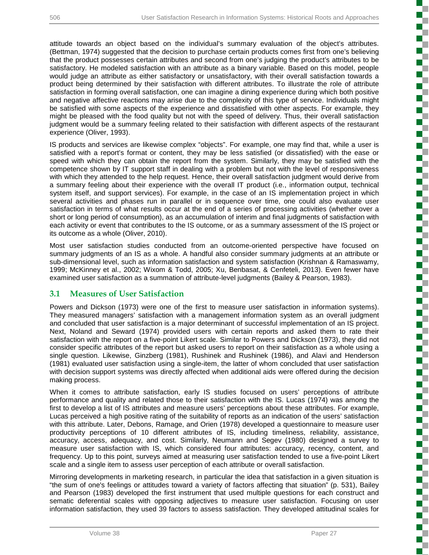i<br>S

ı

ŝ

T.

į

ì

į

2

ī

▛

į

į

attitude towards an object based on the individual's summary evaluation of the object's attributes. (Bettman, 1974) suggested that the decision to purchase certain products comes first from one's believing that the product possesses certain attributes and second from one's judging the product's attributes to be satisfactory. He modeled satisfaction with an attribute as a binary variable. Based on this model, people would judge an attribute as either satisfactory or unsatisfactory, with their overall satisfaction towards a product being determined by their satisfaction with different attributes. To illustrate the role of attribute satisfaction in forming overall satisfaction, one can imagine a dining experience during which both positive and negative affective reactions may arise due to the complexity of this type of service. Individuals might be satisfied with some aspects of the experience and dissatisfied with other aspects. For example, they might be pleased with the food quality but not with the speed of delivery. Thus, their overall satisfaction judgment would be a summary feeling related to their satisfaction with different aspects of the restaurant experience (Oliver, 1993).

IS products and services are likewise complex "objects". For example, one may find that, while a user is satisfied with a report's format or content, they may be less satisfied (or dissatisfied) with the ease or speed with which they can obtain the report from the system. Similarly, they may be satisfied with the competence shown by IT support staff in dealing with a problem but not with the level of responsiveness with which they attended to the help request. Hence, their overall satisfaction judgment would derive from a summary feeling about their experience with the overall IT product (i.e., information output, technical system itself, and support services). For example, in the case of an IS implementation project in which several activities and phases run in parallel or in sequence over time, one could also evaluate user satisfaction in terms of what results occur at the end of a series of processing activities (whether over a short or long period of consumption), as an accumulation of interim and final judgments of satisfaction with each activity or event that contributes to the IS outcome, or as a summary assessment of the IS project or its outcome as a whole (Oliver, 2010).

Most user satisfaction studies conducted from an outcome-oriented perspective have focused on summary judgments of an IS as a whole. A handful also consider summary judgments at an attribute or sub-dimensional level, such as information satisfaction and system satisfaction (Krishnan & Ramaswamy, 1999; McKinney et al., 2002; Wixom & Todd, 2005; Xu, Benbasat, & Cenfeteli, 2013). Even fewer have examined user satisfaction as a summation of attribute-level judgments (Bailey & Pearson, 1983).

#### **3.1 Measures of User Satisfaction**

Powers and Dickson (1973) were one of the first to measure user satisfaction in information systems). They measured managers' satisfaction with a management information system as an overall judgment and concluded that user satisfaction is a major determinant of successful implementation of an IS project. Next, Noland and Seward (1974) provided users with certain reports and asked them to rate their satisfaction with the report on a five-point Likert scale. Similar to Powers and Dickson (1973), they did not consider specific attributes of the report but asked users to report on their satisfaction as a whole using a single question. Likewise, Ginzberg (1981), Rushinek and Rushinek (1986), and Alavi and Henderson (1981) evaluated user satisfaction using a single-item, the latter of whom concluded that user satisfaction with decision support systems was directly affected when additional aids were offered during the decision making process.

When it comes to attribute satisfaction, early IS studies focused on users' perceptions of attribute performance and quality and related those to their satisfaction with the IS. Lucas (1974) was among the first to develop a list of IS attributes and measure users' perceptions about these attributes. For example, Lucas perceived a high positive rating of the suitability of reports as an indication of the users' satisfaction with this attribute. Later, Debons, Ramage, and Orien (1978) developed a questionnaire to measure user productivity perceptions of 10 different attributes of IS, including timeliness, reliability, assistance, accuracy, access, adequacy, and cost. Similarly, Neumann and Segev (1980) designed a survey to measure user satisfaction with IS, which considered four attributes: accuracy, recency, content, and frequency. Up to this point, surveys aimed at measuring user satisfaction tended to use a five-point Likert scale and a single item to assess user perception of each attribute or overall satisfaction.

Mirroring developments in marketing research, in particular the idea that satisfaction in a given situation is "the sum of one's feelings or attitudes toward a variety of factors affecting that situation" (p. 531), Bailey and Pearson (1983) developed the first instrument that used multiple questions for each construct and sematic deferential scales with opposing adjectives to measure user satisfaction. Focusing on user information satisfaction, they used 39 factors to assess satisfaction. They developed attitudinal scales for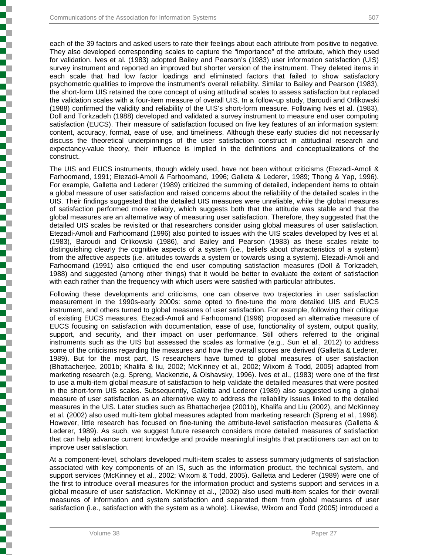each of the 39 factors and asked users to rate their feelings about each attribute from positive to negative. They also developed corresponding scales to capture the "importance" of the attribute, which they used for validation. Ives et al. (1983) adopted Bailey and Pearson's (1983) user information satisfaction (UIS) survey instrument and reported an improved but shorter version of the instrument. They deleted items in each scale that had low factor loadings and eliminated factors that failed to show satisfactory psychometric qualities to improve the instrument's overall reliability. Similar to Bailey and Pearson (1983), the short-form UIS retained the core concept of using attitudinal scales to assess satisfaction but replaced the validation scales with a four-item measure of overall UIS. In a follow-up study, Baroudi and Orlikowski (1988) confirmed the validity and reliability of the UIS's short-form measure. Following Ives et al. (1983), Doll and Torkzadeh (1988) developed and validated a survey instrument to measure end user computing satisfaction (EUCS). Their measure of satisfaction focused on five key features of an information system: content, accuracy, format, ease of use, and timeliness. Although these early studies did not necessarily discuss the theoretical underpinnings of the user satisfaction construct in attitudinal research and expectancy-value theory, their influence is implied in the definitions and conceptualizations of the construct.

The UIS and EUCS instruments, though widely used, have not been without criticisms (Etezadi-Amoli & Farhoomand, 1991; Etezadi-Amoli & Farhoomand, 1996; Galleta & Lederer, 1989; Thong & Yap, 1996). For example, Galletta and Lederer (1989) criticized the summing of detailed, independent items to obtain a global measure of user satisfaction and raised concerns about the reliability of the detailed scales in the UIS. Their findings suggested that the detailed UIS measures were unreliable, while the global measures of satisfaction performed more reliably, which suggests both that the attitude was stable and that the global measures are an alternative way of measuring user satisfaction. Therefore, they suggested that the detailed UIS scales be revisited or that researchers consider using global measures of user satisfaction. Etezadi-Amoli and Farhoomand (1996) also pointed to issues with the UIS scales developed by Ives et al. (1983), Baroudi and Orlikowski (1986), and Bailey and Pearson (1983) as these scales relate to distinguishing clearly the cognitive aspects of a system (i.e., beliefs about characteristics of a system) from the affective aspects (i.e. attitudes towards a system or towards using a system). Etezadi-Amoli and Farhoomand (1991) also critiqued the end user computing satisfaction measures (Doll & Torkzadeh, 1988) and suggested (among other things) that it would be better to evaluate the extent of satisfaction with each rather than the frequency with which users were satisfied with particular attributes.

Following these developments and criticisms, one can observe two trajectories in user satisfaction measurement in the 1990s-early 2000s: some opted to fine-tune the more detailed UIS and EUCS instrument, and others turned to global measures of user satisfaction. For example, following their critique of existing EUCS measures, Etezadi-Amoli and Farhoomand (1996) proposed an alternative measure of EUCS focusing on satisfaction with documentation, ease of use, functionality of system, output quality, support, and security, and their impact on user performance. Still others referred to the original instruments such as the UIS but assessed the scales as formative (e.g., Sun et al., 2012) to address some of the criticisms regarding the measures and how the overall scores are derived (Galletta & Lederer, 1989). But for the most part, IS researchers have turned to global measures of user satisfaction (Bhattacherjee, 2001b; Khalifa & liu, 2002; McKinney et al., 2002; Wixom & Todd, 2005) adapted from marketing research (e.g. Spreng, Mackenzie, & Olshavsky, 1996). Ives et al., (1983) were one of the first to use a multi-item global measure of satisfaction to help validate the detailed measures that were posited in the short-form UIS scales. Subsequently, Galletta and Lederer (1989) also suggested using a global measure of user satisfaction as an alternative way to address the reliability issues linked to the detailed measures in the UIS. Later studies such as Bhattacherjee (2001b), Khalifa and Liu (2002), and McKinney et al. (2002) also used multi-item global measures adapted from marketing research (Spreng et al., 1996). However, little research has focused on fine-tuning the attribute-level satisfaction measures (Galletta & Lederer, 1989). As such, we suggest future research considers more detailed measures of satisfaction that can help advance current knowledge and provide meaningful insights that practitioners can act on to improve user satisfaction.

At a component-level, scholars developed multi-item scales to assess summary judgments of satisfaction associated with key components of an IS, such as the information product, the technical system, and support services (McKinney et al., 2002; Wixom & Todd, 2005). Galletta and Lederer (1989) were one of the first to introduce overall measures for the information product and systems support and services in a global measure of user satisfaction. McKinney et al., (2002) also used multi-item scales for their overall measures of information and system satisfaction and separated them from global measures of user satisfaction (i.e., satisfaction with the system as a whole). Likewise, Wixom and Todd (2005) introduced a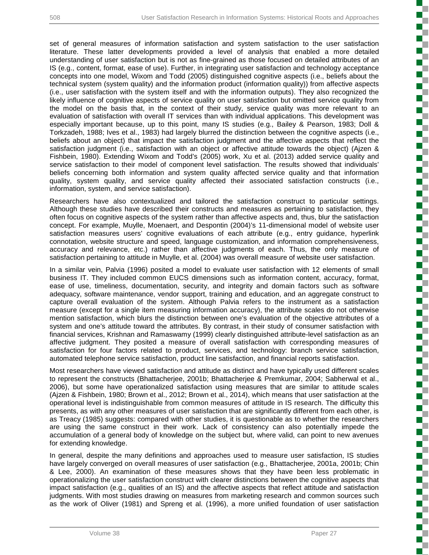$\mathbb{Z}^{\mathbb{Z}}$ 

ì

Ē

Ŧ T.

UD. ď, T

c  $\Box$ 

Ŧ

7

S

FT. c

J, T 2

T E. 3

set of general measures of information satisfaction and system satisfaction to the user satisfaction literature. These latter developments provided a level of analysis that enabled a more detailed understanding of user satisfaction but is not as fine-grained as those focused on detailed attributes of an IS (e.g., content, format, ease of use). Further, in integrating user satisfaction and technology acceptance concepts into one model, Wixom and Todd (2005) distinguished cognitive aspects (i.e., beliefs about the technical system (system quality) and the information product (information quality)) from affective aspects (i.e., user satisfaction with the system itself and with the information outputs). They also recognized the likely influence of cognitive aspects of service quality on user satisfaction but omitted service quality from the model on the basis that, in the context of their study, service quality was more relevant to an evaluation of satisfaction with overall IT services than with individual applications. This development was especially important because, up to this point, many IS studies (e.g., Bailey & Pearson, 1983; Doll & Torkzadeh, 1988; Ives et al., 1983) had largely blurred the distinction between the cognitive aspects (i.e., beliefs about an object) that impact the satisfaction judgment and the affective aspects that reflect the satisfaction judgment (i.e., satisfaction with an object or affective attitude towards the object) (Ajzen & Fishbein, 1980). Extending Wixom and Todd's (2005) work, Xu et al. (2013) added service quality and service satisfaction to their model of component level satisfaction. The results showed that individuals' beliefs concerning both information and system quality affected service quality and that information quality, system quality, and service quality affected their associated satisfaction constructs (i.e., information, system, and service satisfaction).

Researchers have also contextualized and tailored the satisfaction construct to particular settings. Although these studies have described their constructs and measures as pertaining to satisfaction, they often focus on cognitive aspects of the system rather than affective aspects and, thus, blur the satisfaction concept. For example, Muylle, Moenaert, and Despontin (2004)'s 11-dimensional model of website user satisfaction measures users' cognitive evaluations of each attribute (e.g., entry guidance, hyperlink connotation, website structure and speed, language customization, and information comprehensiveness, accuracy and relevance, etc.) rather than affective judgments of each. Thus, the only measure of satisfaction pertaining to attitude in Muylle, et al. (2004) was overall measure of website user satisfaction.

In a similar vein, Palvia (1996) posited a model to evaluate user satisfaction with 12 elements of small business IT. They included common EUCS dimensions such as information content, accuracy, format, ease of use, timeliness, documentation, security, and integrity and domain factors such as software adequacy, software maintenance, vendor support, training and education, and an aggregate construct to capture overall evaluation of the system. Although Palvia refers to the instrument as a satisfaction measure (except for a single item measuring information accuracy), the attribute scales do not otherwise mention satisfaction, which blurs the distinction between one's evaluation of the objective attributes of a system and one's attitude toward the attributes. By contrast, in their study of consumer satisfaction with financial services, Krishnan and Ramaswamy (1999) clearly distinguished attribute-level satisfaction as an affective judgment. They posited a measure of overall satisfaction with corresponding measures of satisfaction for four factors related to product, services, and technology: branch service satisfaction, automated telephone service satisfaction, product line satisfaction, and financial reports satisfaction.

Most researchers have viewed satisfaction and attitude as distinct and have typically used different scales to represent the constructs (Bhattacherjee, 2001b; Bhattacherjee & Premkumar, 2004; Sabherwal et al., 2006), but some have operationalized satisfaction using measures that are similar to attitude scales (Ajzen & Fishbein, 1980; Brown et al., 2012; Brown et al., 2014), which means that user satisfaction at the operational level is indistinguishable from common measures of attitude in IS research. The difficulty this presents, as with any other measures of user satisfaction that are significantly different from each other, is as Treacy (1985) suggests: compared with other studies, it is questionable as to whether the researchers are using the same construct in their work. Lack of consistency can also potentially impede the accumulation of a general body of knowledge on the subject but, where valid, can point to new avenues for extending knowledge.

In general, despite the many definitions and approaches used to measure user satisfaction, IS studies have largely converged on overall measures of user satisfaction (e.g., Bhattacherjee, 2001a, 2001b; Chin & Lee, 2000). An examination of these measures shows that they have been less problematic in operationalizing the user satisfaction construct with clearer distinctions between the cognitive aspects that impact satisfaction (e.g., qualities of an IS) and the affective aspects that reflect attitude and satisfaction judgments. With most studies drawing on measures from marketing research and common sources such as the work of Oliver (1981) and Spreng et al. (1996), a more unified foundation of user satisfaction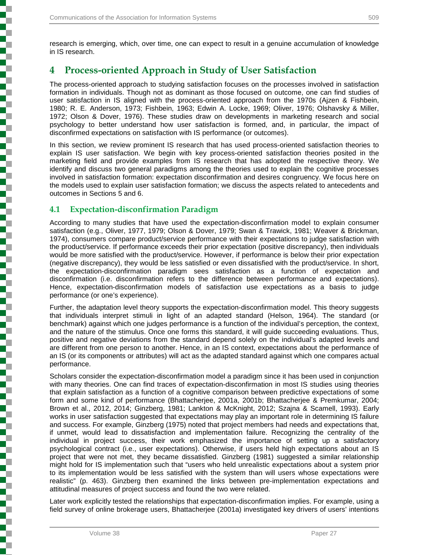research is emerging, which, over time, one can expect to result in a genuine accumulation of knowledge in IS research.

# **4 Process-oriented Approach in Study of User Satisfaction**

The process-oriented approach to studying satisfaction focuses on the processes involved in satisfaction formation in individuals. Though not as dominant as those focused on outcome, one can find studies of user satisfaction in IS aligned with the process-oriented approach from the 1970s (Ajzen & Fishbein, 1980; R. E. Anderson, 1973; Fishbein, 1963; Edwin A. Locke, 1969; Oliver, 1976; Olshavsky & Miller, 1972; Olson & Dover, 1976). These studies draw on developments in marketing research and social psychology to better understand how user satisfaction is formed, and, in particular, the impact of disconfirmed expectations on satisfaction with IS performance (or outcomes).

In this section, we review prominent IS research that has used process-oriented satisfaction theories to explain IS user satisfaction. We begin with key process-oriented satisfaction theories posited in the marketing field and provide examples from IS research that has adopted the respective theory. We identify and discuss two general paradigms among the theories used to explain the cognitive processes involved in satisfaction formation: expectation disconfirmation and desires congruency. We focus here on the models used to explain user satisfaction formation; we discuss the aspects related to antecedents and outcomes in Sections 5 and 6.

#### **4.1 Expectation-disconfirmation Paradigm**

j

According to many studies that have used the expectation-disconfirmation model to explain consumer satisfaction (e.g., Oliver, 1977, 1979; Olson & Dover, 1979; Swan & Trawick, 1981; Weaver & Brickman, 1974), consumers compare product/service performance with their expectations to judge satisfaction with the product/service. If performance exceeds their prior expectation (positive discrepancy), then individuals would be more satisfied with the product/service. However, if performance is below their prior expectation (negative discrepancy), they would be less satisfied or even dissatisfied with the product/service. In short, the expectation-disconfirmation paradigm sees satisfaction as a function of expectation and disconfirmation (i.e. disconfirmation refers to the difference between performance and expectations). Hence, expectation-disconfirmation models of satisfaction use expectations as a basis to judge performance (or one's experience).

Further, the adaptation level theory supports the expectation-disconfirmation model. This theory suggests that individuals interpret stimuli in light of an adapted standard (Helson, 1964). The standard (or benchmark) against which one judges performance is a function of the individual's perception, the context, and the nature of the stimulus. Once one forms this standard, it will guide succeeding evaluations. Thus, positive and negative deviations from the standard depend solely on the individual's adapted levels and are different from one person to another. Hence, in an IS context, expectations about the performance of an IS (or its components or attributes) will act as the adapted standard against which one compares actual performance.

Scholars consider the expectation-disconfirmation model a paradigm since it has been used in conjunction with many theories. One can find traces of expectation-disconfirmation in most IS studies using theories that explain satisfaction as a function of a cognitive comparison between predictive expectations of some form and some kind of performance (Bhattacherjee, 2001a, 2001b; Bhattacherjee & Premkumar, 2004; Brown et al., 2012, 2014; Ginzberg, 1981; Lankton & McKnight, 2012; Szajna & Scamell, 1993). Early works in user satisfaction suggested that expectations may play an important role in determining IS failure and success. For example, Ginzberg (1975) noted that project members had needs and expectations that, if unmet, would lead to dissatisfaction and implementation failure. Recognizing the centrality of the individual in project success, their work emphasized the importance of setting up a satisfactory psychological contract (i.e., user expectations). Otherwise, if users held high expectations about an IS project that were not met, they became dissatisfied. Ginzberg (1981) suggested a similar relationship might hold for IS implementation such that "users who held unrealistic expectations about a system prior to its implementation would be less satisfied with the system than will users whose expectations were realistic" (p. 463). Ginzberg then examined the links between pre-implementation expectations and attitudinal measures of project success and found the two were related.

Later work explicitly tested the relationships that expectation-disconfirmation implies. For example, using a field survey of online brokerage users, Bhattacherjee (2001a) investigated key drivers of users' intentions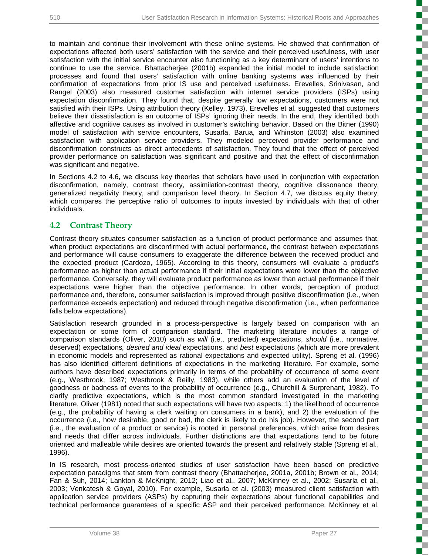ì

Ş

T

į

ì

2

7

Ś

2

ŝ

 $\Box$ 

ŝ

to maintain and continue their involvement with these online systems. He showed that confirmation of expectations affected both users' satisfaction with the service and their perceived usefulness, with user satisfaction with the initial service encounter also functioning as a key determinant of users' intentions to continue to use the service. Bhattacherjee (2001b) expanded the initial model to include satisfaction processes and found that users' satisfaction with online banking systems was influenced by their confirmation of expectations from prior IS use and perceived usefulness. Erevelles, Srinivasan, and Rangel (2003) also measured customer satisfaction with internet service providers (ISPs) using expectation disconfirmation. They found that, despite generally low expectations, customers were not satisfied with their ISPs. Using attribution theory (Kelley, 1973), Erevelles et al. suggested that customers believe their dissatisfaction is an outcome of ISPs' ignoring their needs. In the end, they identified both affective and cognitive causes as involved in customer's switching behavior. Based on the Bitner (1990) model of satisfaction with service encounters, Susarla, Barua, and Whinston (2003) also examined satisfaction with application service providers. They modeled perceived provider performance and disconfirmation constructs as direct antecedents of satisfaction. They found that the effect of perceived provider performance on satisfaction was significant and positive and that the effect of disconfirmation was significant and negative.

In Sections 4.2 to 4.6, we discuss key theories that scholars have used in conjunction with expectation disconfirmation, namely, contrast theory, assimilation-contrast theory, cognitive dissonance theory, generalized negativity theory, and comparison level theory. In Section 4.7, we discuss equity theory, which compares the perceptive ratio of outcomes to inputs invested by individuals with that of other individuals.

#### **4.2 Contrast Theory**

Contrast theory situates consumer satisfaction as a function of product performance and assumes that, when product expectations are disconfirmed with actual performance, the contrast between expectations and performance will cause consumers to exaggerate the difference between the received product and the expected product (Cardozo, 1965). According to this theory, consumers will evaluate a product's performance as higher than actual performance if their initial expectations were lower than the objective performance. Conversely, they will evaluate product performance as lower than actual performance if their expectations were higher than the objective performance. In other words, perception of product performance and, therefore, consumer satisfaction is improved through positive disconfirmation (i.e., when performance exceeds expectation) and reduced through negative disconfirmation (i.e., when performance falls below expectations).

Satisfaction research grounded in a process-perspective is largely based on comparison with an expectation or some form of comparison standard. The marketing literature includes a range of comparison standards (Oliver, 2010) such as *will* (i.e., predicted) expectations, *should* (i.e., normative, deserved) expectations*, desired and ideal* expectations, and *best* expectations (which are more prevalent in economic models and represented as rational expectations and expected utility). Spreng et al. (1996) has also identified different definitions of expectations in the marketing literature. For example, some authors have described expectations primarily in terms of the probability of occurrence of some event (e.g., Westbrook, 1987; Westbrook & Reilly, 1983), while others add an evaluation of the level of goodness or badness of events to the probability of occurrence (e.g., Churchill & Surprenant, 1982). To clarify predictive expectations, which is the most common standard investigated in the marketing literature, Oliver (1981) noted that such expectations will have two aspects: 1) the likelihood of occurrence (e.g., the probability of having a clerk waiting on consumers in a bank), and 2) the evaluation of the occurrence (i.e., how desirable, good or bad, the clerk is likely to do his job). However, the second part (i.e., the evaluation of a product or service) is rooted in personal preferences, which arise from desires and needs that differ across individuals. Further distinctions are that expectations tend to be future oriented and malleable while desires are oriented towards the present and relatively stable (Spreng et al., 1996).

In IS research, most process-oriented studies of user satisfaction have been based on predictive expectation paradigms that stem from contrast theory (Bhattacherjee, 2001a, 2001b; Brown et al., 2014; Fan & Suh, 2014; Lankton & McKnight, 2012; Liao et al., 2007; McKinney et al., 2002; Susarla et al., 2003; Venkatesh & Goyal, 2010). For example, Susarla et al. (2003) measured client satisfaction with application service providers (ASPs) by capturing their expectations about functional capabilities and technical performance guarantees of a specific ASP and their perceived performance. McKinney et al.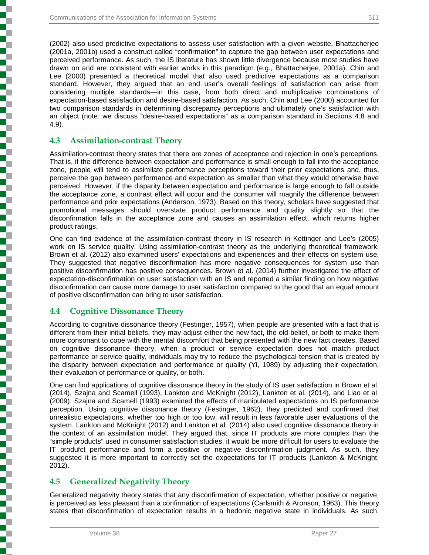(2002) also used predictive expectations to assess user satisfaction with a given website. Bhattacherjee (2001a, 2001b) used a construct called "confirmation" to capture the gap between user expectations and perceived performance. As such, the IS literature has shown little divergence because most studies have drawn on and are consistent with earlier works in this paradigm (e.g., Bhattacherjee, 2001a). Chin and Lee (2000) presented a theoretical model that also used predictive expectations as a comparison standard. However, they argued that an end user's overall feelings of satisfaction can arise from considering multiple standards—in this case, from both direct and multiplicative combinations of expectation-based satisfaction and desire-based satisfaction. As such, Chin and Lee (2000) accounted for two comparison standards in determining discrepancy perceptions and ultimately one's satisfaction with an object (note: we discuss "desire-based expectations" as a comparison standard in Sections 4.8 and 4.9).

#### **4.3 Assimilation-contrast Theory**

į

į

Assimilation-contrast theory states that there are zones of acceptance and rejection in one's perceptions. That is, if the difference between expectation and performance is small enough to fall into the acceptance zone, people will tend to assimilate performance perceptions toward their prior expectations and, thus, perceive the gap between performance and expectation as smaller than what they would otherwise have perceived. However, if the disparity between expectation and performance is large enough to fall outside the acceptance zone, a contrast effect will occur and the consumer will magnify the difference between performance and prior expectations (Anderson, 1973). Based on this theory, scholars have suggested that promotional messages should overstate product performance and quality slightly so that the disconfirmation falls in the acceptance zone and causes an assimilation effect, which returns higher product ratings.

One can find evidence of the assimilation-contrast theory in IS research in Kettinger and Lee's (2005) work on IS service quality. Using assimilation-contrast theory as the underlying theoretical framework, Brown et al. (2012) also examined users' expectations and experiences and their effects on system use. They suggested that negative disconfirmation has more negative consequences for system use than positive disconfirmation has positive consequences. Brown et al. (2014) further investigated the effect of expectation-disconfirmation on user satisfaction with an IS and reported a similar finding on how negative disconfirmation can cause more damage to user satisfaction compared to the good that an equal amount of positive disconfirmation can bring to user satisfaction.

#### **4.4 Cognitive Dissonance Theory**

According to cognitive dissonance theory (Festinger, 1957), when people are presented with a fact that is different from their initial beliefs, they may adjust either the new fact, the old belief, or both to make them more consonant to cope with the mental discomfort that being presented with the new fact creates. Based on cognitive dissonance theory, when a product or service expectation does not match product performance or service quality, individuals may try to reduce the psychological tension that is created by the disparity between expectation and performance or quality (Yi, 1989) by adjusting their expectation, their evaluation of performance or quality, or both.

One can find applications of cognitive dissonance theory in the study of IS user satisfaction in Brown et al. (2014), Szajna and Scamell (1993), Lankton and McKnight (2012), Lankton et al. (2014), and Liao et al. (2009). Szajna and Scamell (1993) examined the effects of manipulated expectations on IS performance perception. Using cognitive dissonance theory (Festinger, 1962), they predicted and confirmed that unrealistic expectations, whether too high or too low, will result in less favorable user evaluations of the system. Lankton and McKnight (2012) and Lankton et al. (2014) also used cognitive dissonance theory in the context of an assimilation model. They argued that, since IT products are more complex than the "simple products" used in consumer satisfaction studies, it would be more difficult for users to evaluate the IT produfct performance and form a positive or negative disconfirmation judgment. As such, they suggested it is more important to correctly set the expectations for IT products (Lankton & McKnight, 2012).

### **4.5 Generalized Negativity Theory**

Generalized negativity theory states that any disconfirmation of expectation, whether positive or negative, is perceived as less pleasant than a confirmation of expectations (Carlsmith & Aronson, 1963). This theory states that disconfirmation of expectation results in a hedonic negative state in individuals. As such,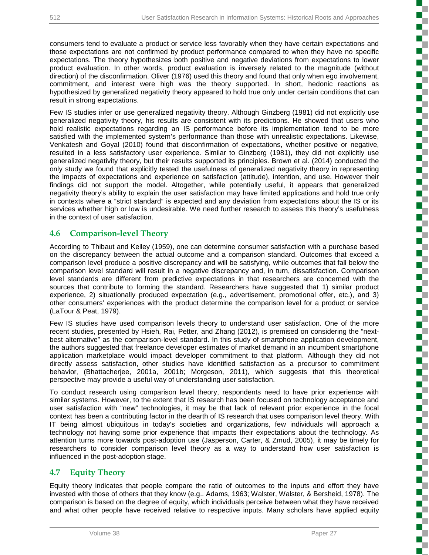ì

n T

į

T.

į

į

ì

į

ŝ

Ş

consumers tend to evaluate a product or service less favorably when they have certain expectations and those expectations are not confirmed by product performance compared to when they have no specific expectations. The theory hypothesizes both positive and negative deviations from expectations to lower product evaluation. In other words, product evaluation is inversely related to the magnitude (without direction) of the disconfirmation. Oliver (1976) used this theory and found that only when ego involvement, commitment, and interest were high was the theory supported. In short, hedonic reactions as hypothesized by generalized negativity theory appeared to hold true only under certain conditions that can result in strong expectations.

Few IS studies infer or use generalized negativity theory. Although Ginzberg (1981) did not explicitly use generalized negativity theory, his results are consistent with its predictions. He showed that users who hold realistic expectations regarding an IS performance before its implementation tend to be more satisfied with the implemented system's performance than those with unrealistic expectations. Likewise, Venkatesh and Goyal (2010) found that disconfirmation of expectations, whether positive or negative, resulted in a less satisfactory user experience. Similar to Ginzberg (1981), they did not explicitly use generalized negativity theory, but their results supported its principles. Brown et al. (2014) conducted the only study we found that explicitly tested the usefulness of generalized negativity theory in representing the impacts of expectations and experience on satisfaction (attitude), intention, and use. However their findings did not support the model. Altogether, while potentially useful, it appears that generalized negativity theory's ability to explain the user satisfaction may have limited applications and hold true only in contexts where a "strict standard" is expected and any deviation from expectations about the IS or its services whether high or low is undesirable. We need further research to assess this theory's usefulness in the context of user satisfaction.

#### **4.6 Comparison-level Theory**

According to Thibaut and Kelley (1959), one can determine consumer satisfaction with a purchase based on the discrepancy between the actual outcome and a comparison standard. Outcomes that exceed a comparison level produce a positive discrepancy and will be satisfying, while outcomes that fall below the comparison level standard will result in a negative discrepancy and, in turn, dissatisfaction. Comparison level standards are different from predictive expectations in that researchers are concerned with the sources that contribute to forming the standard. Researchers have suggested that 1) similar product experience, 2) situationally produced expectation (e.g., advertisement, promotional offer, etc.), and 3) other consumers' experiences with the product determine the comparison level for a product or service (LaTour & Peat, 1979).

Few IS studies have used comparison levels theory to understand user satisfaction. One of the more recent studies, presented by Hsieh, Rai, Petter, and Zhang (2012), is premised on considering the "nextbest alternative" as the comparison-level standard. In this study of smartphone application development, the authors suggested that freelance developer estimates of market demand in an incumbent smartphone application marketplace would impact developer commitment to that platform. Although they did not directly assess satisfaction, other studies have identified satisfaction as a precursor to commitment behavior, (Bhattacherjee, 2001a, 2001b; Morgeson, 2011), which suggests that this theoretical perspective may provide a useful way of understanding user satisfaction.

To conduct research using comparison level theory, respondents need to have prior experience with similar systems. However, to the extent that IS research has been focused on technology acceptance and user satisfaction with "new" technologies, it may be that lack of relevant prior experience in the focal context has been a contributing factor in the dearth of IS research that uses comparison level theory. With IT being almost ubiquitous in today's societies and organizations, few individuals will approach a technology not having some prior experience that impacts their expectations about the technology. As attention turns more towards post-adoption use (Jasperson, Carter, & Zmud, 2005), it may be timely for researchers to consider comparison level theory as a way to understand how user satisfaction is influenced in the post-adoption stage.

#### **4.7 Equity Theory**

Equity theory indicates that people compare the ratio of outcomes to the inputs and effort they have invested with those of others that they know (e.g.. Adams, 1963; Walster, Walster, & Bersheid, 1978). The comparison is based on the degree of equity, which individuals perceive between what they have received and what other people have received relative to respective inputs. Many scholars have applied equity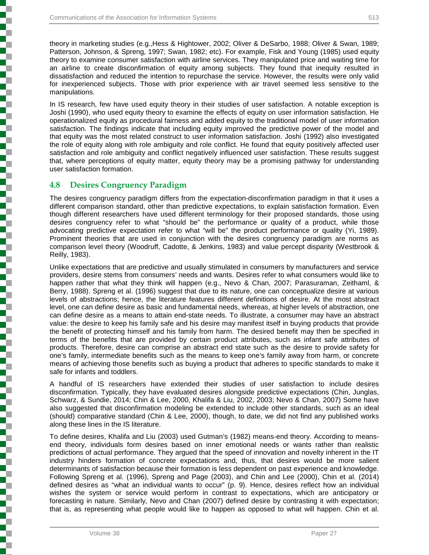theory in marketing studies (e.g.,Hess & Hightower, 2002; Oliver & DeSarbo, 1988; Oliver & Swan, 1989; Patterson, Johnson, & Spreng, 1997; Swan, 1982; etc). For example, Fisk and Young (1985) used equity theory to examine consumer satisfaction with airline services. They manipulated price and waiting time for an airline to create disconfirmation of equity among subjects. They found that inequity resulted in dissatisfaction and reduced the intention to repurchase the service. However, the results were only valid for inexperienced subjects. Those with prior experience with air travel seemed less sensitive to the manipulations.

In IS research, few have used equity theory in their studies of user satisfaction. A notable exception is Joshi (1990), who used equity theory to examine the effects of equity on user information satisfaction. He operationalized equity as procedural fairness and added equity to the traditional model of user information satisfaction. The findings indicate that including equity improved the predictive power of the model and that equity was the most related construct to user information satisfaction. Joshi (1992) also investigated the role of equity along with role ambiguity and role conflict. He found that equity positively affected user satisfaction and role ambiguity and conflict negatively influenced user satisfaction. These results suggest that, where perceptions of equity matter, equity theory may be a promising pathway for understanding user satisfaction formation.

#### **4.8 Desires Congruency Paradigm**

The desires congruency paradigm differs from the expectation-disconfirmation paradigm in that it uses a different comparison standard, other than predictive expectations, to explain satisfaction formation. Even though different researchers have used different terminology for their proposed standards, those using desires congruency refer to what "should be" the performance or quality of a product, while those advocating predictive expectation refer to what "will be" the product performance or quality (Yi, 1989). Prominent theories that are used in conjunction with the desires congruency paradigm are norms as comparison level theory (Woodruff, Cadotte, & Jenkins, 1983) and value percept disparity (Westbrook & Reilly, 1983).

Unlike expectations that are predictive and usually stimulated in consumers by manufacturers and service providers, desire stems from consumers' needs and wants. Desires refer to what consumers would like to happen rather that what they think will happen (e.g., Nevo & Chan, 2007; Parasuraman, Zeithaml, & Berry, 1988). Spreng et al. (1996) suggest that due to its nature, one can conceptualize desire at various levels of abstractions; hence, the literature features different definitions of desire. At the most abstract level, one can define desire as basic and fundamental needs, whereas, at higher levels of abstraction, one can define desire as a means to attain end-state needs. To illustrate, a consumer may have an abstract value: the desire to keep his family safe and his desire may manifest itself in buying products that provide the benefit of protecting himself and his family from harm. The desired benefit may then be specified in terms of the benefits that are provided by certain product attributes, such as infant safe attributes of products. Therefore, desire can comprise an abstract end state such as the desire to provide safety for one's family, intermediate benefits such as the means to keep one's family away from harm, or concrete means of achieving those benefits such as buying a product that adheres to specific standards to make it safe for infants and toddlers.

A handful of IS researchers have extended their studies of user satisfaction to include desires disconfirmation. Typically, they have evaluated desires alongside predictive expectations (Chin, Junglas, Schwarz, & Sundie, 2014; Chin & Lee, 2000, Khalifa & Liu, 2002, 2003; Nevo & Chan, 2007) Some have also suggested that disconfirmation modeling be extended to include other standards, such as an ideal (should) comparative standard (Chin & Lee, 2000), though, to date, we did not find any published works along these lines in the IS literature.

To define desires, Khalifa and Liu (2003) used Gutman's (1982) means-end theory. According to meansend theory, individuals form desires based on inner emotional needs or wants rather than realistic predictions of actual performance. They argued that the speed of innovation and novelty inherent in the IT industry hinders formation of concrete expectations and, thus, that desires would be more salient determinants of satisfaction because their formation is less dependent on past experience and knowledge. Following Spreng et al. (1996), Spreng and Page (2003), and Chin and Lee (2000), Chin et al. (2014) defined desires as "what an individual wants to occur" (p. 9). Hence, desires reflect how an individual wishes the system or service would perform in contrast to expectations, which are anticipatory or forecasting in nature. Similarly, Nevo and Chan (2007) defined desire by contrasting it with expectation; that is, as representing what people would like to happen as opposed to what will happen. Chin et al.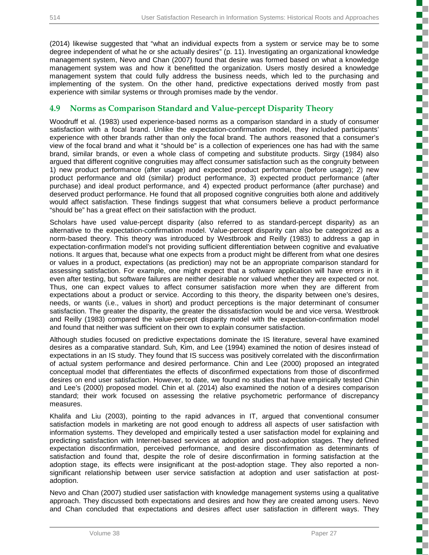Š

j

 $\mathbb{R}^n$ 己

Ŧ  $\blacksquare$ Ŧ

į

æ

j

S

5

c

ŝ

E

ì

 $\Box$ 7

t

(2014) likewise suggested that "what an individual expects from a system or service may be to some degree independent of what he or she actually desires" (p. 11). Investigating an organizational knowledge management system, Nevo and Chan (2007) found that desire was formed based on what a knowledge management system was and how it benefitted the organization. Users mostly desired a knowledge management system that could fully address the business needs, which led to the purchasing and implementing of the system. On the other hand, predictive expectations derived mostly from past experience with similar systems or through promises made by the vendor.

#### **4.9 Norms as Comparison Standard and Value-percept Disparity Theory**

Woodruff et al. (1983) used experience-based norms as a comparison standard in a study of consumer satisfaction with a focal brand. Unlike the expectation-confirmation model, they included participants' experience with other brands rather than only the focal brand. The authors reasoned that a consumer's view of the focal brand and what it "should be" is a collection of experiences one has had with the same brand, similar brands, or even a whole class of competing and substitute products. Sirgy (1984) also argued that different cognitive congruities may affect consumer satisfaction such as the congruity between 1) new product performance (after usage) and expected product performance (before usage); 2) new product performance and old (similar) product performance, 3) expected product performance (after purchase) and ideal product performance, and 4) expected product performance (after purchase) and deserved product performance. He found that all proposed cognitive congruities both alone and additively would affect satisfaction. These findings suggest that what consumers believe a product performance "should be" has a great effect on their satisfaction with the product.

Scholars have used value-percept disparity (also referred to as standard-percept disparity) as an alternative to the expectation-confirmation model. Value-percept disparity can also be categorized as a norm-based theory. This theory was introduced by Westbrook and Reilly (1983) to address a gap in expectation-confirmation model's not providing sufficient differentiation between cognitive and evaluative notions. It argues that, because what one expects from a product might be different from what one desires or values in a product, expectations (as prediction) may not be an appropriate comparison standard for assessing satisfaction. For example, one might expect that a software application will have errors in it even after testing, but software failures are neither desirable nor valued whether they are expected or not. Thus, one can expect values to affect consumer satisfaction more when they are different from expectations about a product or service. According to this theory, the disparity between one's desires, needs, or wants (i.e., values in short) and product perceptions is the major determinant of consumer satisfaction. The greater the disparity, the greater the dissatisfaction would be and vice versa. Westbrook and Reilly (1983) compared the value-percept disparity model with the expectation-confirmation model and found that neither was sufficient on their own to explain consumer satisfaction.

Although studies focused on predictive expectations dominate the IS literature, several have examined desires as a comparative standard. Suh, Kim, and Lee (1994) examined the notion of desires instead of expectations in an IS study. They found that IS success was positively correlated with the disconfirmation of actual system performance and desired performance. Chin and Lee (2000) proposed an integrated conceptual model that differentiates the effects of disconfirmed expectations from those of disconfirmed desires on end user satisfaction. However, to date, we found no studies that have empirically tested Chin and Lee's (2000) proposed model. Chin et al. (2014) also examined the notion of a desires comparison standard; their work focused on assessing the relative psychometric performance of discrepancy measures.

Khalifa and Liu (2003), pointing to the rapid advances in IT, argued that conventional consumer satisfaction models in marketing are not good enough to address all aspects of user satisfaction with information systems. They developed and empirically tested a user satisfaction model for explaining and predicting satisfaction with Internet-based services at adoption and post-adoption stages. They defined expectation disconfirmation, perceived performance, and desire disconfirmation as determinants of satisfaction and found that, despite the role of desire disconfirmation in forming satisfaction at the adoption stage, its effects were insignificant at the post-adoption stage. They also reported a nonsignificant relationship between user service satisfaction at adoption and user satisfaction at postadoption.

Nevo and Chan (2007) studied user satisfaction with knowledge management systems using a qualitative approach. They discussed both expectations and desires and how they are created among users. Nevo and Chan concluded that expectations and desires affect user satisfaction in different ways. They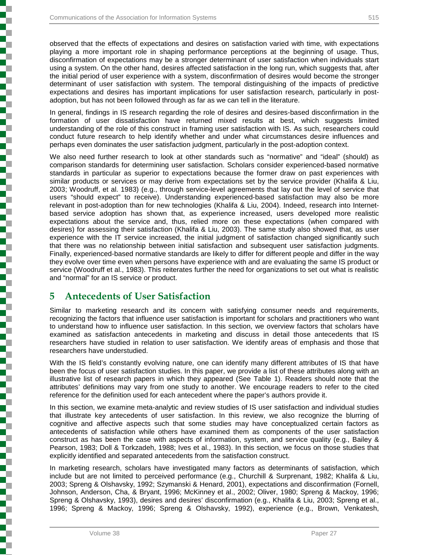observed that the effects of expectations and desires on satisfaction varied with time, with expectations playing a more important role in shaping performance perceptions at the beginning of usage. Thus, disconfirmation of expectations may be a stronger determinant of user satisfaction when individuals start using a system. On the other hand, desires affected satisfaction in the long run, which suggests that, after the initial period of user experience with a system, disconfirmation of desires would become the stronger determinant of user satisfaction with system. The temporal distinguishing of the impacts of predictive expectations and desires has important implications for user satisfaction research, particularly in postadoption, but has not been followed through as far as we can tell in the literature.

In general, findings in IS research regarding the role of desires and desires-based disconfirmation in the formation of user dissatisfaction have returned mixed results at best, which suggests limited understanding of the role of this construct in framing user satisfaction with IS. As such, researchers could conduct future research to help identify whether and under what circumstances desire influences and perhaps even dominates the user satisfaction judgment, particularly in the post-adoption context.

We also need further research to look at other standards such as "normative" and "ideal" (should) as comparison standards for determining user satisfaction. Scholars consider experienced-based normative standards in particular as superior to expectations because the former draw on past experiences with similar products or services or may derive from expectations set by the service provider (Khalifa & Liu, 2003; Woodruff, et al. 1983) (e.g., through service-level agreements that lay out the level of service that users "should expect" to receive). Understanding experienced-based satisfaction may also be more relevant in post-adoption than for new technologies (Khalifa & Liu, 2004). Indeed, research into Internetbased service adoption has shown that, as experience increased, users developed more realistic expectations about the service and, thus, relied more on these expectations (when compared with desires) for assessing their satisfaction (Khalifa & Liu, 2003). The same study also showed that, as user experience with the IT service increased, the initial judgment of satisfaction changed significantly such that there was no relationship between initial satisfaction and subsequent user satisfaction judgments. Finally, experienced-based normative standards are likely to differ for different people and differ in the way they evolve over time even when persons have experience with and are evaluating the same IS product or service (Woodruff et al., 1983). This reiterates further the need for organizations to set out what is realistic and "normal" for an IS service or product.

## **5 Antecedents of User Satisfaction**

Similar to marketing research and its concern with satisfying consumer needs and requirements, recognizing the factors that influence user satisfaction is important for scholars and practitioners who want to understand how to influence user satisfaction. In this section, we overview factors that scholars have examined as satisfaction antecedents in marketing and discuss in detail those antecedents that IS researchers have studied in relation to user satisfaction. We identify areas of emphasis and those that researchers have understudied.

With the IS field's constantly evolving nature, one can identify many different attributes of IS that have been the focus of user satisfaction studies. In this paper, we provide a list of these attributes along with an illustrative list of research papers in which they appeared (See Table 1). Readers should note that the attributes' definitions may vary from one study to another. We encourage readers to refer to the cited reference for the definition used for each antecedent where the paper's authors provide it.

In this section, we examine meta-analytic and review studies of IS user satisfaction and individual studies that illustrate key antecedents of user satisfaction. In this review, we also recognize the blurring of cognitive and affective aspects such that some studies may have conceptualized certain factors as antecedents of satisfaction while others have examined them as components of the user satisfaction construct as has been the case with aspects of information, system, and service quality (e.g., Bailey & Pearson, 1983; Doll & Torkzadeh, 1988; Ives et al., 1983). In this section, we focus on those studies that explicitly identified and separated antecedents from the satisfaction construct.

In marketing research, scholars have investigated many factors as determinants of satisfaction, which include but are not limited to perceived performance (e.g., Churchill & Surprenant, 1982; Khalifa & Liu, 2003; Spreng & Olshavsky, 1992; Szymanski & Henard, 2001), expectations and disconfirmation (Fornell, Johnson, Anderson, Cha, & Bryant, 1996; McKinney et al., 2002; Oliver, 1980; Spreng & Mackoy, 1996; Spreng & Olshavsky, 1993), desires and desires' disconfirmation (e.g., Khalifa & Liu, 2003; Spreng et al., 1996; Spreng & Mackoy, 1996; Spreng & Olshavsky, 1992), experience (e.g., Brown, Venkatesh,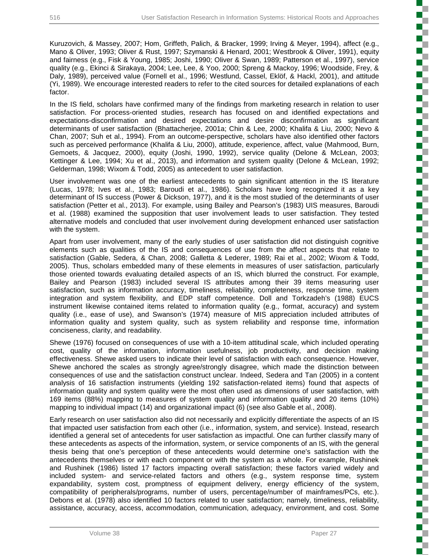$\overline{\phantom{a}}$ Ŧ

ŝ

E

s

Î

t

Kuruzovich, & Massey, 2007; Hom, Griffeth, Palich, & Bracker, 1999; Irving & Meyer, 1994), affect (e.g., Mano & Oliver, 1993; Oliver & Rust, 1997; Szymanski & Henard, 2001; Westbrook & Oliver, 1991), equity and fairness (e.g., Fisk & Young, 1985; Joshi, 1990; Oliver & Swan, 1989; Patterson et al., 1997), service quality (e.g., Ekinci & Sirakaya, 2004; Lee, Lee, & Yoo, 2000; Spreng & Mackoy, 1996; Woodside, Frey, & Daly, 1989), perceived value (Fornell et al., 1996; Westlund, Cassel, Eklöf, & Hackl, 2001), and attitude (Yi, 1989). We encourage interested readers to refer to the cited sources for detailed explanations of each factor.

In the IS field, scholars have confirmed many of the findings from marketing research in relation to user satisfaction. For process-oriented studies, research has focused on and identified expectations and expectations-disconfirmation and desired expectations and desire disconfirmation as significant determinants of user satisfaction (Bhattacherjee, 2001a; Chin & Lee, 2000; Khalifa & Liu, 2000; Nevo & Chan, 2007; Suh et al., 1994). From an outcome-perspective, scholars have also identified other factors such as perceived performance (Khalifa & Liu, 2000), attitude, experience, affect, value (Mahmood, Burn, Gemoets, & Jacquez, 2000), equity (Joshi, 1990, 1992), service quality (Delone & McLean, 2003; Kettinger & Lee, 1994; Xu et al., 2013), and information and system quality (Delone & McLean, 1992; Gelderman, 1998; Wixom & Todd, 2005) as antecedent to user satisfaction.

User involvement was one of the earliest antecedents to gain significant attention in the IS literature (Lucas, 1978; Ives et al., 1983; Baroudi et al., 1986). Scholars have long recognized it as a key determinant of IS success (Power & Dickson, 1977), and it is the most studied of the determinants of user satisfaction (Petter et al., 2013). For example, using Bailey and Pearson's (1983) UIS measures, Baroudi et al. (1988) examined the supposition that user involvement leads to user satisfaction. They tested alternative models and concluded that user involvement during development enhanced user satisfaction with the system.

Apart from user involvement, many of the early studies of user satisfaction did not distinguish cognitive elements such as qualities of the IS and consequences of use from the affect aspects that relate to satisfaction (Gable, Sedera, & Chan, 2008; Galletta & Lederer, 1989; Rai et al., 2002; Wixom & Todd, 2005). Thus, scholars embedded many of these elements in measures of user satisfaction, particularly those oriented towards evaluating detailed aspects of an IS, which blurred the construct. For example, Bailey and Pearson (1983) included several IS attributes among their 39 items measuring user satisfaction, such as information accuracy, timeliness, reliability, completeness, response time, system integration and system flexibility, and EDP staff competence. Doll and Torkzadeh's (1988) EUCS instrument likewise contained items related to information quality (e.g., format, accuracy) and system quality (i.e., ease of use), and Swanson's (1974) measure of MIS appreciation included attributes of information quality and system quality, such as system reliability and response time, information conciseness, clarity, and readability.

Shewe (1976) focused on consequences of use with a 10-item attitudinal scale, which included operating cost, quality of the information, information usefulness, job productivity, and decision making effectiveness. Shewe asked users to indicate their level of satisfaction with each consequence. However, Shewe anchored the scales as strongly agree/strongly disagree, which made the distinction between consequences of use and the satisfaction construct unclear. Indeed, Sedera and Tan (2005) in a content analysis of 16 satisfaction instruments (yielding 192 satisfaction-related items) found that aspects of information quality and system quality were the most often used as dimensions of user satisfaction, with 169 items (88%) mapping to measures of system quality and information quality and 20 items (10%) mapping to individual impact (14) and organizational impact (6) (see also Gable et al., 2008).

Early research on user satisfaction also did not necessarily and explicitly differentiate the aspects of an IS that impacted user satisfaction from each other (i.e., information, system, and service). Instead, research identified a general set of antecedents for user satisfaction as impactful. One can further classify many of these antecedents as aspects of the information, system, or service components of an IS, with the general thesis being that one's perception of these antecedents would determine one's satisfaction with the antecedents themselves or with each component or with the system as a whole. For example, Rushinek and Rushinek (1986) listed 17 factors impacting overall satisfaction; these factors varied widely and included system- and service-related factors and others (e.g., system response time, system expandability, system cost, promptness of equipment delivery, energy efficiency of the system, compatibility of peripherals/programs, number of users, percentage/number of mainframes/PCs, etc.). Debons et al. (1978) also identified 10 factors related to user satisfaction; namely, timeliness, reliability, assistance, accuracy, access, accommodation, communication, adequacy, environment, and cost. Some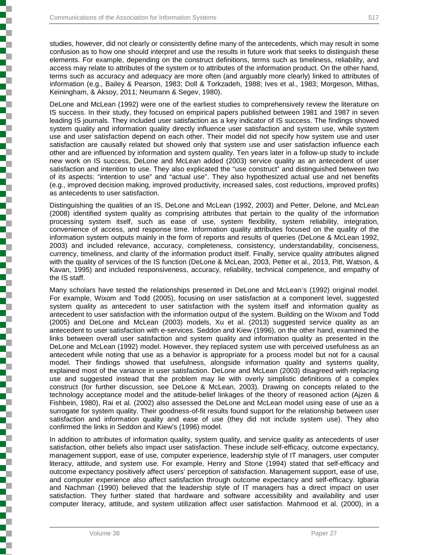studies, however, did not clearly or consistently define many of the antecedents, which may result in some confusion as to how one should interpret and use the results in future work that seeks to distinguish these elements. For example, depending on the construct definitions, terms such as timeliness, reliability, and access may relate to attributes of the system or to attributes of the information product. On the other hand, terms such as accuracy and adequacy are more often (and arguably more clearly) linked to attributes of information (e.g., Bailey & Pearson, 1983; Doll & Torkzadeh, 1988; Ives et al., 1983; Morgeson, Mithas, Keiningham, & Aksoy, 2011; Neumann & Segev, 1980).

DeLone and McLean (1992) were one of the earliest studies to comprehensively review the literature on IS success. In their study, they focused on empirical papers published between 1981 and 1987 in seven leading IS journals. They included user satisfaction as a key indicator of IS success. The findings showed system quality and information quality directly influence user satisfaction and system use, while system use and user satisfaction depend on each other. Their model did not specify how system use and user satisfaction are causally related but showed only that system use and user satisfaction influence each other and are influenced by information and system quality. Ten years later in a follow-up study to include new work on IS success, DeLone and McLean added (2003) service quality as an antecedent of user satisfaction and intention to use. They also explicated the "use construct" and distinguished between two of its aspects: "intention to use" and "actual use". They also hypothesized actual use and net benefits (e.g., improved decision making, improved productivity, increased sales, cost reductions, improved profits) as antecedents to user satisfaction.

Distinguishing the qualities of an IS, DeLone and McLean (1992, 2003) and Petter, Delone, and McLean (2008) identified system quality as comprising attributes that pertain to the quality of the information processing system itself, such as ease of use, system flexibility, system reliability, integration, convenience of access, and response time. Information quality attributes focused on the quality of the information system outputs mainly in the form of reports and results of queries (DeLone & McLean 1992, 2003) and included relevance, accuracy, completeness, consistency, understandability, conciseness, currency, timeliness, and clarity of the information product itself. Finally, service quality attributes aligned with the quality of services of the IS function (DeLone & McLean, 2003, Petter et al., 2013, Pitt, Watson, & Kavan, 1995) and included responsiveness, accuracy, reliability, technical competence, and empathy of the IS staff.

Many scholars have tested the relationships presented in DeLone and McLean's (1992) original model. For example, Wixom and Todd (2005), focusing on user satisfaction at a component level, suggested system quality as antecedent to user satisfaction with the system itself and information quality as antecedent to user satisfaction with the information output of the system. Building on the Wixom and Todd (2005) and DeLone and McLean (2003) models, Xu et al. (2013) suggested service quality as an antecedent to user satisfaction with e-services. Seddon and Kiew (1996), on the other hand, examined the links between overall user satisfaction and system quality and information quality as presented in the DeLone and McLean (1992) model. However, they replaced system use with perceived usefulness as an antecedent while noting that use as a behavior is appropriate for a process model but not for a causal model. Their findings showed that usefulness, alongside information quality and systems quality, explained most of the variance in user satisfaction. DeLone and McLean (2003) disagreed with replacing use and suggested instead that the problem may lie with overly simplistic definitions of a complex construct (for further discussion, see DeLone & McLean, 2003). Drawing on concepts related to the technology acceptance model and the attitude-belief linkages of the theory of reasoned action (Ajzen & Fishbein, 1980), Rai et al. (2002) also assessed the DeLone and McLean model using ease of use as a surrogate for system quality. Their goodness-of-fit results found support for the relationship between user satisfaction and information quality and ease of use (they did not include system use). They also confirmed the links in Seddon and Kiew's (1996) model.

In addition to attributes of information quality, system quality, and service quality as antecedents of user satisfaction, other beliefs also impact user satisfaction. These include self-efficacy, outcome expectancy, management support, ease of use, computer experience, leadership style of IT managers, user computer literacy, attitude, and system use. For example, Henry and Stone (1994) stated that self-efficacy and outcome expectancy positively affect users' perception of satisfaction. Management support, ease of use, and computer experience also affect satisfaction through outcome expectancy and self-efficacy. Igbaria and Nachman (1990) believed that the leadership style of IT managers has a direct impact on user satisfaction. They further stated that hardware and software accessibility and availability and user computer literacy, attitude, and system utilization affect user satisfaction. Mahmood et al. (2000), in a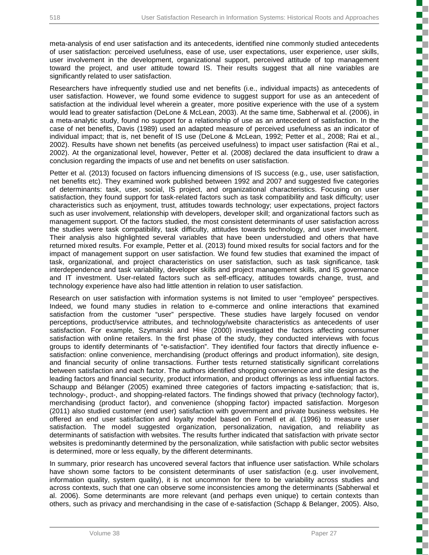ì

Í

n p

c

3

d.

t

meta-analysis of end user satisfaction and its antecedents, identified nine commonly studied antecedents of user satisfaction: perceived usefulness, ease of use, user expectations, user experience, user skills, user involvement in the development, organizational support, perceived attitude of top management toward the project, and user attitude toward IS. Their results suggest that all nine variables are significantly related to user satisfaction.

Researchers have infrequently studied use and net benefits (i.e., individual impacts) as antecedents of user satisfaction. However, we found some evidence to suggest support for use as an antecedent of satisfaction at the individual level wherein a greater, more positive experience with the use of a system would lead to greater satisfaction (DeLone & McLean, 2003). At the same time, Sabherwal et al. (2006), in a meta-analytic study, found no support for a relationship of use as an antecedent of satisfaction. In the case of net benefits, Davis (1989) used an adapted measure of perceived usefulness as an indicator of individual impact; that is, net benefit of IS use (DeLone & McLean, 1992; Petter et al., 2008; Rai et al., 2002). Results have shown net benefits (as perceived usefulness) to impact user satisfaction (Rai et al., 2002). At the organizational level, however, Petter et al. (2008) declared the data insufficient to draw a conclusion regarding the impacts of use and net benefits on user satisfaction.

Petter et al. (2013) focused on factors influencing dimensions of IS success (e.g., use, user satisfaction, net benefits etc). They examined work published between 1992 and 2007 and suggested five categories of determinants: task, user, social, IS project, and organizational characteristics. Focusing on user satisfaction, they found support for task-related factors such as task compatibility and task difficulty; user characteristics such as enjoyment, trust, attitudes towards technology; user expectations, project factors such as user involvement, relationship with developers, developer skill; and organizational factors such as management support. Of the factors studied, the most consistent determinants of user satisfaction across the studies were task compatibility, task difficulty, attitudes towards technology, and user involvement. Their analysis also highlighted several variables that have been understudied and others that have returned mixed results. For example, Petter et al. (2013) found mixed results for social factors and for the impact of management support on user satisfaction. We found few studies that examined the impact of task, organizational, and project characteristics on user satisfaction, such as task significance, task interdependence and task variability, developer skills and project management skills, and IS governance and IT investment. User-related factors such as self-efficacy, attitudes towards change, trust, and technology experience have also had little attention in relation to user satisfaction.

Research on user satisfaction with information systems is not limited to user "employee" perspectives. Indeed, we found many studies in relation to e-commerce and online interactions that examined satisfaction from the customer "user" perspective. These studies have largely focused on vendor perceptions, product/service attributes, and technology/website characteristics as antecedents of user satisfaction. For example, Szymanski and Hise (2000) investigated the factors affecting consumer satisfaction with online retailers. In the first phase of the study, they conducted interviews with focus groups to identify determinants of "e-satisfaction". They identified four factors that directly influence esatisfaction: online convenience, merchandising (product offerings and product information), site design, and financial security of online transactions. Further tests returned statistically significant correlations between satisfaction and each factor. The authors identified shopping convenience and site design as the leading factors and financial security, product information, and product offerings as less influential factors. Schaupp and Bélanger (2005) examined three categories of factors impacting e-satisfaction; that is, technology-, product-, and shopping-related factors. The findings showed that privacy (technology factor), merchandising (product factor), and convenience (shopping factor) impacted satisfaction. Morgeson (2011) also studied customer (end user) satisfaction with government and private business websites. He offered an end user satisfaction and loyalty model based on Fornell et al. (1996) to measure user satisfaction. The model suggested organization, personalization, navigation, and reliability as determinants of satisfaction with websites. The results further indicated that satisfaction with private sector websites is predominantly determined by the personalization, while satisfaction with public sector websites is determined, more or less equally, by the different determinants.

In summary, prior research has uncovered several factors that influence user satisfaction. While scholars have shown some factors to be consistent determinants of user satisfaction (e.g. user involvement, information quality, system quality), it is not uncommon for there to be variability across studies and across contexts, such that one can observe some inconsistencies among the determinants (Sabherwal et al. 2006). Some determinants are more relevant (and perhaps even unique) to certain contexts than others, such as privacy and merchandising in the case of e-satisfaction (Schapp & Belanger, 2005). Also,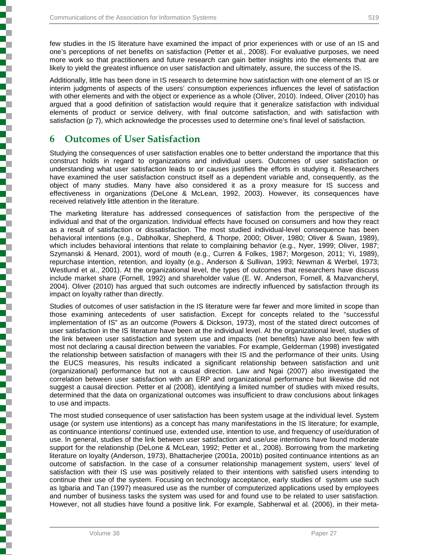few studies in the IS literature have examined the impact of prior experiences with or use of an IS and one's perceptions of net benefits on satisfaction (Petter et al., 2008). For evaluative purposes, we need more work so that practitioners and future research can gain better insights into the elements that are likely to yield the greatest influence on user satisfaction and ultimately, assure, the success of the IS.

Additionally, little has been done in IS research to determine how satisfaction with one element of an IS or interim judgments of aspects of the users' consumption experiences influences the level of satisfaction with other elements and with the object or experience as a whole (Oliver, 2010). Indeed, Oliver (2010) has argued that a good definition of satisfaction would require that it generalize satisfaction with individual elements of product or service delivery, with final outcome satisfaction, and with satisfaction with satisfaction (p 7), which acknowledge the processes used to determine one's final level of satisfaction.

### **6 Outcomes of User Satisfaction**

Studying the consequences of user satisfaction enables one to better understand the importance that this construct holds in regard to organizations and individual users. Outcomes of user satisfaction or understanding what user satisfaction leads to or causes justifies the efforts in studying it. Researchers have examined the user satisfaction construct itself as a dependent variable and, consequently, as the object of many studies. Many have also considered it as a proxy measure for IS success and effectiveness in organizations (DeLone & McLean, 1992, 2003). However, its consequences have received relatively little attention in the literature.

The marketing literature has addressed consequences of satisfaction from the perspective of the individual and that of the organization. Individual effects have focused on consumers and how they react as a result of satisfaction or dissatisfaction. The most studied individual-level consequence has been behavioral intentions (e.g., Dabholkar, Shepherd, & Thorpe, 2000; Oliver, 1980; Oliver & Swan, 1989), which includes behavioral intentions that relate to complaining behavior (e.g., Nyer, 1999; Oliver, 1987; Szymanski & Henard, 2001), word of mouth (e.g., Curren & Folkes, 1987; Morgeson, 2011; Yi, 1989), repurchase intention, retention, and loyalty (e.g., Anderson & Sullivan, 1993; Newman & Werbel, 1973; Westlund et al., 2001). At the organizational level, the types of outcomes that researchers have discuss include market share (Fornell, 1992) and shareholder value (E. W. Anderson, Fornell, & Mazvancheryl, 2004). Oliver (2010) has argued that such outcomes are indirectly influenced by satisfaction through its impact on loyalty rather than directly.

Studies of outcomes of user satisfaction in the IS literature were far fewer and more limited in scope than those examining antecedents of user satisfaction. Except for concepts related to the "successful implementation of IS" as an outcome (Powers & Dickson, 1973), most of the stated direct outcomes of user satisfaction in the IS literature have been at the individual level. At the organizational level, studies of the link between user satisfaction and system use and impacts (net benefits) have also been few with most not declaring a causal direction between the variables. For example, Gelderman (1998) investigated the relationship between satisfaction of managers with their IS and the performance of their units. Using the EUCS measures, his results indicated a significant relationship between satisfaction and unit (organizational) performance but not a causal direction. Law and Ngai (2007) also investigated the correlation between user satisfaction with an ERP and organizational performance but likewise did not suggest a causal direction. Petter et al (2008), identifying a limited number of studies with mixed results, determined that the data on organizational outcomes was insufficient to draw conclusions about linkages to use and impacts.

The most studied consequence of user satisfaction has been system usage at the individual level. System usage (or system use intentions) as a concept has many manifestations in the IS literature; for example, as continuance intentions/ continued use, extended use, intention to use, and frequency of use/duration of use. In general, studies of the link between user satisfaction and use/use intentions have found moderate support for the relationship (DeLone & McLean, 1992; Petter et al., 2008). Borrowing from the marketing literature on loyalty (Anderson, 1973), Bhattacherjee (2001a, 2001b) posited continuance intentions as an outcome of satisfaction. In the case of a consumer relationship management system, users' level of satisfaction with their IS use was positively related to their intentions with satisfied users intending to continue their use of the system. Focusing on technology acceptance, early studies of system use such as Igbaria and Tan (1997) measured use as the number of computerized applications used by employees and number of business tasks the system was used for and found use to be related to user satisfaction. However, not all studies have found a positive link. For example, Sabherwal et al. (2006), in their meta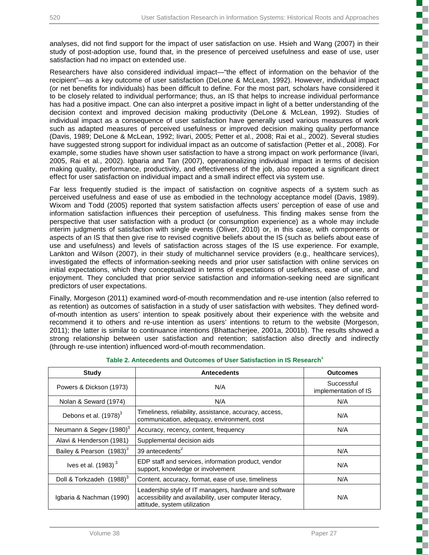analyses, did not find support for the impact of user satisfaction on use. Hsieh and Wang (2007) in their study of post-adoption use, found that, in the presence of perceived usefulness and ease of use, user satisfaction had no impact on extended use.

Researchers have also considered individual impact—"the effect of information on the behavior of the recipient"—as a key outcome of user satisfaction (DeLone & McLean, 1992). However, individual impact (or net benefits for individuals) has been difficult to define. For the most part, scholars have considered it to be closely related to individual performance; thus, an IS that helps to increase individual performance has had a positive impact. One can also interpret a positive impact in light of a better understanding of the decision context and improved decision making productivity (DeLone & McLean, 1992). Studies of individual impact as a consequence of user satisfaction have generally used various measures of work such as adapted measures of perceived usefulness or improved decision making quality performance (Davis, 1989; DeLone & McLean, 1992; Iivari, 2005; Petter et al., 2008; Rai et al., 2002). Several studies have suggested strong support for individual impact as an outcome of satisfaction (Petter et al., 2008). For example, some studies have shown user satisfaction to have a strong impact on work performance (Iivari, 2005, Rai et al., 2002). Igbaria and Tan (2007), operationalizing individual impact in terms of decision making quality, performance, productivity, and effectiveness of the job, also reported a significant direct effect for user satisfaction on individual impact and a small indirect effect via system use.

Far less frequently studied is the impact of satisfaction on cognitive aspects of a system such as perceived usefulness and ease of use as embodied in the technology acceptance model (Davis, 1989). Wixom and Todd (2005) reported that system satisfaction affects users' perception of ease of use and information satisfaction influences their perception of usefulness. This finding makes sense from the perspective that user satisfaction with a product (or consumption experience) as a whole may include interim judgments of satisfaction with single events (Oliver, 2010) or, in this case, with components or aspects of an IS that then give rise to revised cognitive beliefs about the IS (such as beliefs about ease of use and usefulness) and levels of satisfaction across stages of the IS use experience. For example, Lankton and Wilson (2007), in their study of multichannel service providers (e.g., healthcare services), investigated the effects of information-seeking needs and prior user satisfaction with online services on initial expectations, which they conceptualized in terms of expectations of usefulness, ease of use, and enjoyment. They concluded that prior service satisfaction and information-seeking need are significant predictors of user expectations.

Finally, Morgeson (2011) examined word-of-mouth recommendation and re-use intention (also referred to as retention) as outcomes of satisfaction in a study of user satisfaction with websites. They defined wordof-mouth intention as users' intention to speak positively about their experience with the website and recommend it to others and re-use intention as users' intentions to return to the website (Morgeson, 2011); the latter is similar to continuance intentions (Bhattacherjee, 2001a, 2001b). The results showed a strong relationship between user satisfaction and retention; satisfaction also directly and indirectly (through re-use intention) influenced word-of-mouth recommendation.

| <b>Study</b>                         | <b>Antecedents</b>                                                                                                                                | <b>Outcomes</b>                    |
|--------------------------------------|---------------------------------------------------------------------------------------------------------------------------------------------------|------------------------------------|
| Powers & Dickson (1973)              | N/A                                                                                                                                               | Successful<br>implementation of IS |
| Nolan & Seward (1974)                | N/A                                                                                                                                               | N/A                                |
| Debons et al. (1978) <sup>3</sup>    | Timeliness, reliability, assistance, accuracy, access,<br>communication, adequacy, environment, cost                                              | N/A                                |
| Neumann & Segev (1980) <sup>3</sup>  | Accuracy, recency, content, frequency                                                                                                             | N/A                                |
| Alavi & Henderson (1981)             | Supplemental decision aids                                                                                                                        |                                    |
| Bailey & Pearson (1983) <sup>3</sup> | 39 antecedents $2$                                                                                                                                | N/A                                |
| lves et al. $(1983)^3$               | EDP staff and services, information product, vendor<br>support, knowledge or involvement                                                          | N/A                                |
| Doll & Torkzadeh (1988) <sup>3</sup> | Content, accuracy, format, ease of use, timeliness                                                                                                | N/A                                |
| Igbaria & Nachman (1990)             | Leadership style of IT managers, hardware and software<br>accessibility and availability, user computer literacy,<br>attitude, system utilization | N/A                                |

#### Table 2. Antecedents and Outcomes of User Satisfaction in IS Research<sup>1</sup>

į

ì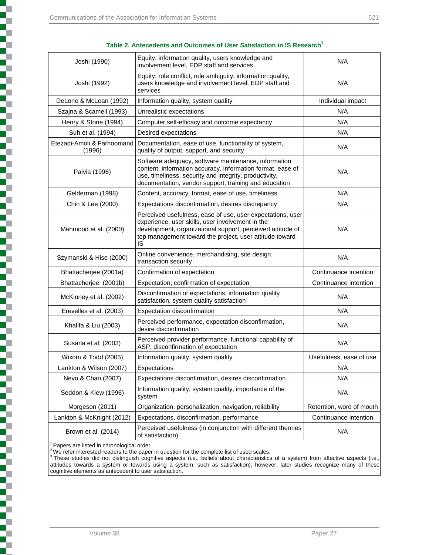j

l

Ş

5

ł J  $\frac{1}{\sqrt{2}}$ 

Ş

₿

ş

₿

٦ T 7

₿

5

י<br>ו

l

₹

i<br>I

| Joshi (1990)                         | Equity, information quality, users knowledge and<br>involvement level, EDP staff and services                                                                                                                                                 | N/A                      |
|--------------------------------------|-----------------------------------------------------------------------------------------------------------------------------------------------------------------------------------------------------------------------------------------------|--------------------------|
| Joshi (1992)                         | Equity, role conflict, role ambiguity, information quality,<br>users knowledge and involvement level, EDP staff and<br>services                                                                                                               | N/A                      |
| DeLone & McLean (1992)               | Information quality, system quality                                                                                                                                                                                                           | Individual impact        |
| Szajna & Scamell (1993)              | Unrealistic expectations                                                                                                                                                                                                                      | N/A                      |
| Henry & Stone (1994)                 | Computer self-efficacy and outcome expectancy                                                                                                                                                                                                 | N/A                      |
| Suh et al. (1994)                    | Desired expectations                                                                                                                                                                                                                          | N/A                      |
| Etezadi-Amoli & Farhoomand<br>(1996) | Documentation, ease of use, functionality of system,<br>quality of output, support, and security                                                                                                                                              | N/A                      |
| Palvia (1996)                        | Software adequacy, software maintenance, information<br>content, information accuracy, information format, ease of<br>use, timeliness, security and integrity, productivity,<br>documentation, vendor support, training and education         | N/A                      |
| Gelderman (1998)                     | Content, accuracy, format, ease of use, timeliness                                                                                                                                                                                            | N/A                      |
| Chin & Lee (2000)                    | Expectations disconfirmation, desires discrepancy                                                                                                                                                                                             | N/A                      |
| Mahmood et al. (2000)                | Perceived usefulness, ease of use, user expectations, user<br>experience, user skills, user involvement in the<br>development, organizational support, perceived attitude of<br>top management toward the project, user attitude toward<br>IS | N/A                      |
| Szymanski & Hise (2000)              | Online convenience, merchandising, site design,<br>transaction security                                                                                                                                                                       | N/A                      |
| Bhattacherjee (2001a)                | Confirmation of expectation                                                                                                                                                                                                                   | Continuance intention    |
| Bhattacherjee (2001b)                | Expectation, confirmation of expectation                                                                                                                                                                                                      | Continuance intention    |
| McKinney et al. (2002)               | Disconfirmation of expectations, information quality<br>satisfaction, system quality satisfaction                                                                                                                                             | N/A                      |
| Erevelles et al. (2003)              | Expectation disconfirmation                                                                                                                                                                                                                   | N/A                      |
| Khalifa & Liu (2003)                 | Perceived performance, expectation disconfirmation,<br>desire disconfirmation                                                                                                                                                                 | N/A                      |
| Susarla et al. (2003)                | Perceived provider performance, functional capability of<br>ASP, disconfirmation of expectation                                                                                                                                               | N/A                      |
| Wixom & Todd (2005)                  | Information quality, system quality                                                                                                                                                                                                           | Usefulness, ease of use  |
| Lankton & Wilson (2007)              | Expectations                                                                                                                                                                                                                                  | N/A                      |
| Nevo & Chan (2007)                   | Expectations disconfirmation, desires disconfirmation                                                                                                                                                                                         | N/A                      |
| Seddon & Kiew (1996)                 | Information quality, system quality, importance of the<br>system                                                                                                                                                                              | N/A                      |
| Morgeson (2011)                      | Organization, personalization, navigation, reliability                                                                                                                                                                                        | Retention, word of mouth |
| Lankton & McKnight (2012)            | Expectations, disconfirmation, performance                                                                                                                                                                                                    | Continuance intention    |
| Brown et al. (2014)                  | Perceived usefulness (in conjunction with different theories<br>of satisfaction)                                                                                                                                                              | N/A                      |
|                                      |                                                                                                                                                                                                                                               |                          |

#### **Table 2. Antecedents and Outcomes of User Satisfaction in IS Research<sup>1</sup>**

<sup>1</sup> Papers are listed in chronological order.<br>
<sup>2</sup> We refer interested readers to the paper in question for the complete list of used scales.<br>
<sup>3</sup> These studies did not distinguish cognitive aspects (i.e., beliefs about c attitudes towards a system or towards using a system, such as satisfaction); however, later studies recognize many of these cognitive elements as antecedent to user satisfaction.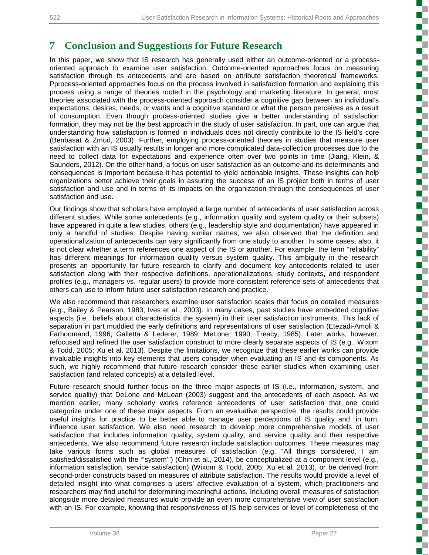# **7 Conclusion and Suggestions for Future Research**

In this paper, we show that IS research has generally used either an outcome-oriented or a processoriented approach to examine user satisfaction. Outcome-oriented approaches focus on measuring satisfaction through its antecedents and are based on attribute satisfaction theoretical frameworks. Pprocess-oriented approaches focus on the process involved in satisfaction formation and explaining this process using a range of theories rooted in the psychology and marketing literature. In general, most theories associated with the process-oriented approach consider a cognitive gap between an individual's expectations, desires, needs, or wants and a cognitive standard or what the person perceives as a result of consumption. Even though process-oriented studies give a better understanding of satisfaction formation, they may not be the best approach in the study of user satisfaction. In part, one can argue that understanding how satisfaction is formed in individuals does not directly contribute to the IS field's core (Benbasat & Zmud, 2003). Further, employing process-oriented theories in studies that measure user satisfaction with an IS usually results in longer and more complicated data-collection processes due to the need to collect data for expectations and experience often over two points in time (Jiang, Klein, & Saunders, 2012). On the other hand, a focus on user satisfaction as an outcome and its determinants and consequences is important because it has potential to yield actionable insights. These insights can help organizations better achieve their goals in assuring the success of an IS project both in terms of user satisfaction and use and in terms of its impacts on the organization through the consequences of user satisfaction and use.

Our findings show that scholars have employed a large number of antecedents of user satisfaction across different studies. While some antecedents (e.g., information quality and system quality or their subsets) have appeared in quite a few studies, others (e.g., leadership style and documentation) have appeared in only a handful of studies. Despite having similar names, we also observed that the definition and operationalization of antecedents can vary significantly from one study to another. In some cases, also, it is not clear whether a term references one aspect of the IS or another. For example, the term "reliability" has different meanings for information quality versus system quality. This ambiguity in the research presents an opportunity for future research to clarify and document key antecedents related to user satisfaction along with their respective definitions, operationalizations, study contexts, and respondent profiles (e.g., managers vs. regular users) to provide more consistent reference sets of antecedents that others can use to inform future user satisfaction research and practice.

We also recommend that researchers examine user satisfaction scales that focus on detailed measures (e.g., Bailey & Pearson, 1983; Ives et al., 2003). In many cases, past studies have embedded cognitive aspects (i.e., beliefs about characteristics the system) in their user satisfaction instruments. This lack of separation in part muddied the early definitions and representations of user satisfaction (Etezadi-Amoli & Farhoomand, 1996; Galletta & Lederer, 1989; MeLone, 1990; Treacy, 1985). Later works, however, refocused and refined the user satisfaction construct to more clearly separate aspects of IS (e.g., Wixom & Todd, 2005; Xu et al. 2013). Despite the limitations, we recognize that these earlier works can provide invaluable insights into key elements that users consider when evaluating an IS and its components. As such, we highly recommend that future research consider these earlier studies when examining user satisfaction (and related concepts) at a detailed level.

Future research should further focus on the three major aspects of IS (i.e., information, system, and service quality) that DeLone and McLean (2003) suggest and the antecedents of each aspect. As we mention earlier, many scholarly works reference antecedents of user satisfaction that one could categorize under one of these major aspects. From an evaluative perspective, the results could provide useful insights for practice to be better able to manage user perceptions of IS quality and, in turn, influence user satisfaction. We also need research to develop more comprehensive models of user satisfaction that includes information quality, system quality, and service quality and their respective antecedents. We also recommend future research include satisfaction outcomes. These measures may take various forms such as global measures of satisfaction (e.g. "All things considered, I am satisfied/dissatisfied with the "'system'") (Chin et al., 2014), be conceptualized at a component level (e.g., information satisfaction, service satisfaction) (Wixom & Todd, 2005; Xu et al. 2013), or be derived from second-order constructs based on measures of attribute satisfaction. The results would provide a level of detailed insight into what comprises a users' affective evaluation of a system, which practitioners and researchers may find useful for determining meaningful actions. Including overall measures of satisfaction alongside more detailed measures would provide an even more comprehensive view of user satisfaction with an IS. For example, knowing that responsiveness of IS help services or level of completeness of the

T

E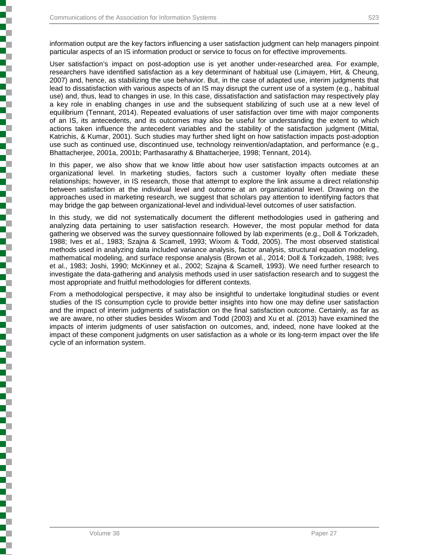information output are the key factors influencing a user satisfaction judgment can help managers pinpoint particular aspects of an IS information product or service to focus on for effective improvements.

User satisfaction's impact on post-adoption use is yet another under-researched area. For example, researchers have identified satisfaction as a key determinant of habitual use (Limayem, Hirt, & Cheung, 2007) and, hence, as stabilizing the use behavior. But, in the case of adapted use, interim judgments that lead to dissatisfaction with various aspects of an IS may disrupt the current use of a system (e.g., habitual use) and, thus, lead to changes in use. In this case, dissatisfaction and satisfaction may respectively play a key role in enabling changes in use and the subsequent stabilizing of such use at a new level of equilibrium (Tennant, 2014). Repeated evaluations of user satisfaction over time with major components of an IS, its antecedents, and its outcomes may also be useful for understanding the extent to which actions taken influence the antecedent variables and the stability of the satisfaction judgment (Mittal, Katrichis, & Kumar, 2001). Such studies may further shed light on how satisfaction impacts post-adoption use such as continued use, discontinued use, technology reinvention/adaptation, and performance (e.g., Bhattacherjee, 2001a, 2001b; Parthasarathy & Bhattacherjee, 1998; Tennant, 2014).

In this paper, we also show that we know little about how user satisfaction impacts outcomes at an organizational level. In marketing studies, factors such a customer loyalty often mediate these relationships; however, in IS research, those that attempt to explore the link assume a direct relationship between satisfaction at the individual level and outcome at an organizational level. Drawing on the approaches used in marketing research, we suggest that scholars pay attention to identifying factors that may bridge the gap between organizational-level and individual-level outcomes of user satisfaction.

In this study, we did not systematically document the different methodologies used in gathering and analyzing data pertaining to user satisfaction research. However, the most popular method for data gathering we observed was the survey questionnaire followed by lab experiments (e.g., Doll & Torkzadeh, 1988; Ives et al., 1983; Szajna & Scamell, 1993; Wixom & Todd, 2005). The most observed statistical methods used in analyzing data included variance analysis, factor analysis, structural equation modeling, mathematical modeling, and surface response analysis (Brown et al., 2014; Doll & Torkzadeh, 1988; Ives et al., 1983; Joshi, 1990; McKinney et al., 2002; Szajna & Scamell, 1993). We need further research to investigate the data-gathering and analysis methods used in user satisfaction research and to suggest the most appropriate and fruitful methodologies for different contexts.

From a methodological perspective, it may also be insightful to undertake longitudinal studies or event studies of the IS consumption cycle to provide better insights into how one may define user satisfaction and the impact of interim judgments of satisfaction on the final satisfaction outcome. Certainly, as far as we are aware, no other studies besides Wixom and Todd (2003) and Xu et al. (2013) have examined the impacts of interim judgments of user satisfaction on outcomes, and, indeed, none have looked at the impact of these component judgments on user satisfaction as a whole or its long-term impact over the life cycle of an information system.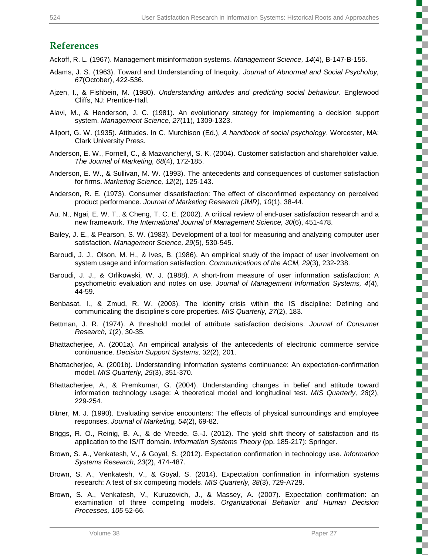L

ĺ

2

Ş

Ō.

į

r.

Ş

i

t

g С

į

Ł

# **References**

- Ackoff, R. L. (1967). Management misinformation systems. *Management Science, 14*(4), B-147-B-156.
- Adams, J. S. (1963). Toward and Understanding of Inequity. *Journal of Abnormal and Social Psycholoy, 67*(October), 422-536.
- Ajzen, I., & Fishbein, M. (1980). *Understanding attitudes and predicting social behaviour*. Englewood Cliffs, NJ: Prentice-Hall.
- Alavi, M., & Henderson, J. C. (1981). An evolutionary strategy for implementing a decision support system. *Management Science, 27*(11), 1309-1323.
- Allport, G. W. (1935). Attitudes. In C. Murchison (Ed.), *A handbook of social psychology*. Worcester, MA: Clark University Press.
- Anderson, E. W., Fornell, C., & Mazvancheryl, S. K. (2004). Customer satisfaction and shareholder value. *The Journal of Marketing, 68*(4), 172-185.
- Anderson, E. W., & Sullivan, M. W. (1993). The antecedents and consequences of customer satisfaction for firms. *Marketing Science, 12*(2), 125-143.
- Anderson, R. E. (1973). Consumer dissatisfaction: The effect of disconfirmed expectancy on perceived product performance. *Journal of Marketing Research (JMR), 10*(1), 38-44.
- Au, N., Ngai, E. W. T., & Cheng, T. C. E. (2002). A critical review of end-user satisfaction research and a new framework. *The International Journal of Management Science, 30*(6), 451-478.
- Bailey, J. E., & Pearson, S. W. (1983). Development of a tool for measuring and analyzing computer user satisfaction. *Management Science, 29*(5), 530-545.
- Baroudi, J. J., Olson, M. H., & Ives, B. (1986). An empirical study of the impact of user involvement on system usage and information satisfaction. *Communications of the ACM, 29*(3), 232-238.
- Baroudi, J. J., & Orlikowski, W. J. (1988). A short-from measure of user information satisfaction: A psychometric evaluation and notes on use. *Journal of Management Information Systems, 4*(4), 44-59.
- Benbasat, I., & Zmud, R. W. (2003). The identity crisis within the IS discipline: Defining and communicating the discipline's core properties. *MIS Quarterly, 27*(2), 183.
- Bettman, J. R. (1974). A threshold model of attribute satisfaction decisions. *Journal of Consumer Research, 1*(2), 30-35.
- Bhattacherjee, A. (2001a). An empirical analysis of the antecedents of electronic commerce service continuance. *Decision Support Systems, 32*(2), 201.
- Bhattacherjee, A. (2001b). Understanding information systems continuance: An expectation-confirmation model. *MIS Quarterly, 25*(3), 351-370.
- Bhattacherjee, A., & Premkumar, G. (2004). Understanding changes in belief and attitude toward information technology usage: A theoretical model and longitudinal test. *MIS Quarterly, 28*(2), 229-254.
- Bitner, M. J. (1990). Evaluating service encounters: The effects of physical surroundings and employee responses. *Journal of Marketing, 54*(2), 69-82.
- Briggs, R. O., Reinig, B. A., & de Vreede, G.-J. (2012). The yield shift theory of satisfaction and its application to the IS/IT domain. *Information Systems Theory* (pp. 185-217): Springer.
- Brown, S. A., Venkatesh, V., & Goyal, S. (2012). Expectation confirmation in technology use. *Information Systems Research, 23*(2), 474-487.
- Brown, S. A., Venkatesh, V., & Goyal, S. (2014). Expectation confirmation in information systems research: A test of six competing models. *MIS Quarterly, 38*(3), 729-A729.
- Brown, S. A., Venkatesh, V., Kuruzovich, J., & Massey, A. (2007). Expectation confirmation: an examination of three competing models. *Organizational Behavior and Human Decision Processes, 105* 52-66.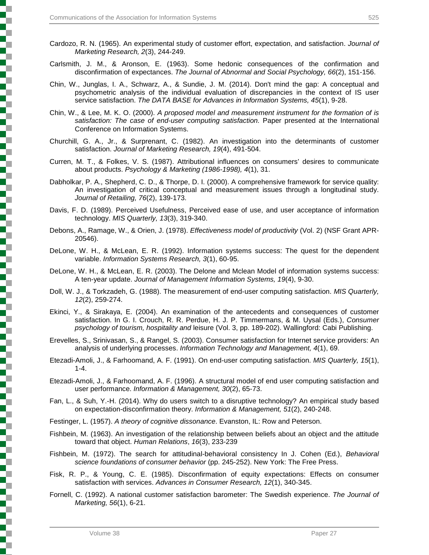- Cardozo, R. N. (1965). An experimental study of customer effort, expectation, and satisfaction. *Journal of Marketing Research, 2*(3), 244-249.
- Carlsmith, J. M., & Aronson, E. (1963). Some hedonic consequences of the confirmation and disconfirmation of expectances. *The Journal of Abnormal and Social Psychology, 66*(2), 151-156.
- Chin, W., Junglas, I. A., Schwarz, A., & Sundie, J. M. (2014). Don't mind the gap: A conceptual and psychometric analysis of the individual evaluation of discrepancies in the context of IS user service satisfaction. *The DATA BASE for Advances in Information Systems, 45*(1), 9-28.
- Chin, W., & Lee, M. K. O. (2000). *A proposed model and measurement instrument for the formation of is satisfaction: The case of end-user computing satisfaction.* Paper presented at the International Conference on Information Systems.
- Churchill, G. A., Jr., & Surprenant, C. (1982). An investigation into the determinants of customer satisfaction. *Journal of Marketing Research, 19*(4), 491-504.
- Curren, M. T., & Folkes, V. S. (1987). Attributional influences on consumers' desires to communicate about products. *Psychology & Marketing (1986-1998), 4*(1), 31.
- Dabholkar, P. A., Shepherd, C. D., & Thorpe, D. I. (2000). A comprehensive framework for service quality: An investigation of critical conceptual and measurement issues through a longitudinal study. *Journal of Retailing, 76*(2), 139-173.
- Davis, F. D. (1989). Perceived Usefulness, Perceived ease of use, and user acceptance of information technology. *MIS Quarterly, 13*(3), 319-340.
- Debons, A., Ramage, W., & Orien, J. (1978). *Effectiveness model of productivity* (Vol. 2) (NSF Grant APR-20546).
- DeLone, W. H., & McLean, E. R. (1992). Information systems success: The quest for the dependent variable. *Information Systems Research, 3*(1), 60-95.
- DeLone, W. H., & McLean, E. R. (2003). The Delone and Mclean Model of information systems success: A ten-year update. *Journal of Management Information Systems, 19*(4), 9-30.
- Doll, W. J., & Torkzadeh, G. (1988). The measurement of end-user computing satisfaction. *MIS Quarterly, 12*(2), 259-274.
- Ekinci, Y., & Sirakaya, E. (2004). An examination of the antecedents and consequences of customer satisfaction. In G. I. Crouch, R. R. Perdue, H. J. P. Timmermans, & M. Uysal (Eds.), *Consumer psychology of tourism, hospitality and* leisure (Vol. 3, pp. 189-202). Wallingford: Cabi Publishing.
- Erevelles, S., Srinivasan, S., & Rangel, S. (2003). Consumer satisfaction for Internet service providers: An analysis of underlying processes. *Information Technology and Management, 4*(1), 69.
- Etezadi-Amoli, J., & Farhoomand, A. F. (1991). On end-user computing satisfaction. *MIS Quarterly, 15*(1),  $1 - 4.$
- Etezadi-Amoli, J., & Farhoomand, A. F. (1996). A structural model of end user computing satisfaction and user performance. *Information & Management, 30*(2), 65-73.
- Fan, L., & Suh, Y.-H. (2014). Why do users switch to a disruptive technology? An empirical study based on expectation-disconfirmation theory. *Information & Management, 51*(2), 240-248.
- Festinger, L. (1957). *A theory of cognitive dissonance*. Evanston, IL: Row and Peterson.
- Fishbein, M. (1963). An investigation of the relationship between beliefs about an object and the attitude toward that object. *Human Relations*, *16*(3), 233-239
- Fishbein, M. (1972). The search for attitudinal-behavioral consistency In J. Cohen (Ed.), *Behavioral science foundations of consumer behavior* (pp. 245-252). New York: The Free Press.
- Fisk, R. P., & Young, C. E. (1985). Disconfirmation of equity expectations: Effects on consumer satisfaction with services. *Advances in Consumer Research, 12*(1), 340-345.
- Fornell, C. (1992). A national customer satisfaction barometer: The Swedish experience. *The Journal of Marketing, 56*(1), 6-21.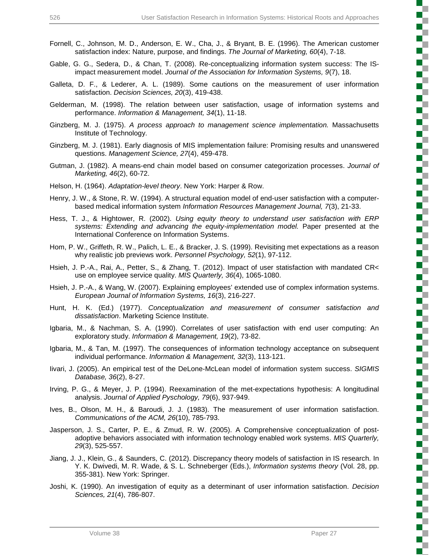Ş

Ş

ç

r.

i

i

Ş

į

Ş

Ş

c

į

▛

- Fornell, C., Johnson, M. D., Anderson, E. W., Cha, J., & Bryant, B. E. (1996). The American customer satisfaction index: Nature, purpose, and findings. *The Journal of Marketing, 60*(4), 7-18.
- Gable, G. G., Sedera, D., & Chan, T. (2008). Re-conceptualizing information system success: The ISimpact measurement model. *Journal of the Association for Information Systems, 9*(7), 18.
- Galleta, D. F., & Lederer, A. L. (1989). Some cautions on the measurement of user information satisfaction. *Decision Sciences, 20*(3), 419-438.
- Gelderman, M. (1998). The relation between user satisfaction, usage of information systems and performance. *Information & Management, 34*(1), 11-18.
- Ginzberg, M. J. (1975). *A process approach to management science implementation.* Massachusetts Institute of Technology.
- Ginzberg, M. J. (1981). Early diagnosis of MIS implementation failure: Promising results and unanswered questions. *Management Science, 27*(4), 459-478.
- Gutman, J. (1982). A means-end chain model based on consumer categorization processes. *Journal of Marketing, 46*(2), 60-72.
- Helson, H. (1964). *Adaptation-level theory*. New York: Harper & Row.
- Henry, J. W., & Stone, R. W. (1994). A structural equation model of end-user satisfaction with a computerbased medical information system *Information Resources Management Journal, 7*(3), 21-33.
- Hess, T. J., & Hightower, R. (2002). *Using equity theory to understand user satisfaction with ERP systems: Extending and advancing the equity-implementation model.* Paper presented at the International Conference on Information Systems.
- Hom, P. W., Griffeth, R. W., Palich, L. E., & Bracker, J. S. (1999). Revisiting met expectations as a reason why realistic job previews work. *Personnel Psychology, 52*(1), 97-112.
- Hsieh, J. P.-A., Rai, A., Petter, S., & Zhang, T. (2012). Impact of user statisfaction with mandated CR< use on employee service quality. *MIS Quarterly, 36*(4), 1065-1080.
- Hsieh, J. P.-A., & Wang, W. (2007). Explaining employees' extended use of complex information systems. *European Journal of Information Systems, 16*(3), 216-227.
- Hunt, H. K. (Ed.) (1977). *Conceptualization and measurement of consumer satisfaction and dissatisfaction*. Marketing Science Institute.
- Igbaria, M., & Nachman, S. A. (1990). Correlates of user satisfaction with end user computing: An exploratory study. *Information & Management, 19*(2), 73-82.
- Igbaria, M., & Tan, M. (1997). The consequences of information technology acceptance on subsequent individual performance. *Information & Management, 32*(3), 113-121.
- Iivari, J. (2005). An empirical test of the DeLone-McLean model of information system success. *SIGMIS Database, 36*(2), 8-27.
- Irving, P. G., & Meyer, J. P. (1994). Reexamination of the met-expectations hypothesis: A longitudinal analysis. *Journal of Applied Pyschology, 79*(6), 937-949.
- Ives, B., Olson, M. H., & Baroudi, J. J. (1983). The measurement of user information satisfaction. *Communications of the ACM, 26*(10), 785-793.
- Jasperson, J. S., Carter, P. E., & Zmud, R. W. (2005). A Comprehensive conceptualization of postadoptive behaviors associated with information technology enabled work systems. *MIS Quarterly, 29*(3), 525-557.
- Jiang, J. J., Klein, G., & Saunders, C. (2012). Discrepancy theory models of satisfaction in IS research. In Y. K. Dwivedi, M. R. Wade, & S. L. Schneberger (Eds.), *Information systems theory* (Vol. 28, pp. 355-381). New York: Springer.
- Joshi, K. (1990). An investigation of equity as a determinant of user information satisfaction. *Decision Sciences, 21*(4), 786-807.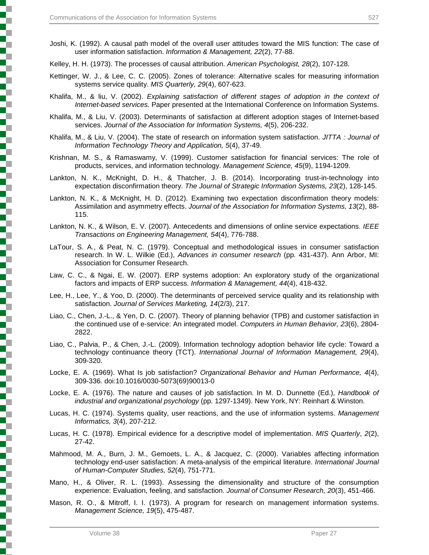₿

- Joshi, K. (1992). A causal path model of the overall user attitudes toward the MIS function: The case of user information satisfaction. *Information & Management, 22*(2), 77-88.
- Kelley, H. H. (1973). The processes of causal attribution. *American Psychologist, 28*(2), 107-128.
- Kettinger, W. J., & Lee, C. C. (2005). Zones of tolerance: Alternative scales for measuring information systems service quality. *MIS Quarterly, 29*(4), 607-623.
- Khalifa, M., & liu, V. (2002). *Explaining satisfaction of different stages of adoption in the context of Internet-based services.* Paper presented at the International Conference on Information Systems.
- Khalifa, M., & Liu, V. (2003). Determinants of satisfaction at different adoption stages of Internet-based services. *Journal of the Association for Information Systems, 4*(5), 206-232.
- Khalifa, M., & Liu, V. (2004). The state of research on information system satisfaction. *JITTA : Journal of Information Technology Theory and Application, 5*(4), 37-49.
- Krishnan, M. S., & Ramaswamy, V. (1999). Customer satisfaction for financial services: The role of products, services, and information technology. *Management Science, 45*(9), 1194-1209.
- Lankton, N. K., McKnight, D. H., & Thatcher, J. B. (2014). Incorporating trust-in-technology into expectation disconfirmation theory. *The Journal of Strategic Information Systems, 23*(2), 128-145.
- Lankton, N. K., & McKnight, H. D. (2012). Examining two expectation disconfirmation theory models: Assimilation and asymmetry effects. *Journal of the Association for Information Systems, 13*(2), 88- 115.
- Lankton, N. K., & Wilson, E. V. (2007). Antecedents and dimensions of online service expectations. *IEEE Transactions on Engineering Management, 54*(4), 776-788.
- LaTour, S. A., & Peat, N. C. (1979). Conceptual and methodological issues in consumer satisfaction research. In W. L. Wilkie (Ed.), *Advances in consumer research* (pp. 431-437). Ann Arbor, MI: Association for Consumer Research.
- Law, C. C., & Ngai, E. W. (2007). ERP systems adoption: An exploratory study of the organizational factors and impacts of ERP success. *Information & Management, 44*(4), 418-432.
- Lee, H., Lee, Y., & Yoo, D. (2000). The determinants of perceived service quality and its relationship with satisfaction. *Journal of Services Marketing, 14*(2/3), 217.
- Liao, C., Chen, J.-L., & Yen, D. C. (2007). Theory of planning behavior (TPB) and customer satisfaction in the continued use of e-service: An integrated model. *Computers in Human Behavior, 23*(6), 2804- 2822.
- Liao, C., Palvia, P., & Chen, J.-L. (2009). Information technology adoption behavior life cycle: Toward a technology continuance theory (TCT). *International Journal of Information Management, 29*(4), 309-320.
- Locke, E. A. (1969). What Is job satisfaction? *Organizational Behavior and Human Performance, 4*(4), 309-336. doi:10.1016/0030-5073(69)90013-0
- Locke, E. A. (1976). The nature and causes of job satisfaction. In M. D. Dunnette (Ed.), *Handbook of industrial and organizational psychology* (pp. 1297-1349). New York, NY: Reinhart & Winston.
- Lucas, H. C. (1974). Systems quality, user reactions, and the use of information systems. *Management Informatics, 3*(4), 207-212.
- Lucas, H. C. (1978). Empirical evidence for a descriptive model of implementation. *MIS Quarterly*, *2*(2), 27-42.
- Mahmood, M. A., Burn, J. M., Gemoets, L. A., & Jacquez, C. (2000). Variables affecting information technology end-user satisfaction: A meta-analysis of the empirical literature. *International Journal of Human-Computer Studies, 52*(4), 751-771.
- Mano, H., & Oliver, R. L. (1993). Assessing the dimensionality and structure of the consumption experience: Evaluation, feeling, and satisfaction. *Journal of Consumer Research, 20*(3), 451-466.
- Mason, R. O., & Mitroff, I. I. (1973). A program for research on management information systems. *Management Science, 19*(5), 475-487.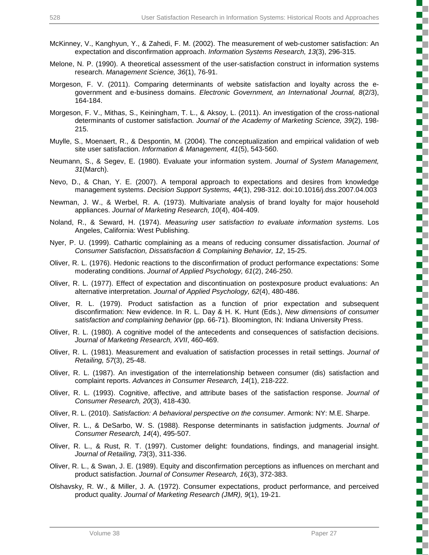l

c L 2

į

c Œ 2

į

Š

i

c

c

Š

t

- McKinney, V., Kanghyun, Y., & Zahedi, F. M. (2002). The measurement of web-customer satisfaction: An expectation and disconfirmation approach. *Information Systems Research, 13*(3), 296-315.
- Melone, N. P. (1990). A theoretical assessment of the user-satisfaction construct in information systems research. *Management Science, 36*(1), 76-91.
- Morgeson, F. V. (2011). Comparing determinants of website satisfaction and loyalty across the egovernment and e-business domains. *Electronic Government, an International Journal, 8*(2/3), 164-184.
- Morgeson, F. V., Mithas, S., Keiningham, T. L., & Aksoy, L. (2011). An investigation of the cross-national determinants of customer satisfaction. *Journal of the Academy of Marketing Science, 39*(2), 198- 215.
- Muylle, S., Moenaert, R., & Despontin, M. (2004). The conceptualization and empirical validation of web site user satisfaction. *Information & Management, 41*(5), 543-560.
- Neumann, S., & Segev, E. (1980). Evaluate your information system. *Journal of System Management, 31*(March).
- Nevo, D., & Chan, Y. E. (2007). A temporal approach to expectations and desires from knowledge management systems. *Decision Support Systems, 44*(1), 298-312. doi:10.1016/j.dss.2007.04.003
- Newman, J. W., & Werbel, R. A. (1973). Multivariate analysis of brand loyalty for major household appliances. *Journal of Marketing Research, 10*(4), 404-409.
- Noland, R., & Seward, H. (1974). *Measuring user satisfaction to evaluate information systems*. Los Angeles, California: West Publishing.
- Nyer, P. U. (1999). Cathartic complaining as a means of reducing consumer dissatisfaction. *Journal of Consumer Satisfaction, Dissatisfaction & Complaining Behavior, 12*, 15-25.
- Oliver, R. L. (1976). Hedonic reactions to the disconfirmation of product performance expectations: Some moderating conditions. *Journal of Applied Psychology, 61*(2), 246-250.
- Oliver, R. L. (1977). Effect of expectation and discontinuation on postexposure product evaluations: An alternative interpretation. *Journal of Applied Psychology, 62*(4), 480-486.
- Oliver, R. L. (1979). Product satisfaction as a function of prior expectation and subsequent disconfirmation: New evidence. In R. L. Day & H. K. Hunt (Eds.), *New dimensions of consumer satisfaction and complaining behavior* (pp. 66-71). Bloomington, IN: Indiana University Press.
- Oliver, R. L. (1980). A cognitive model of the antecedents and consequences of satisfaction decisions. *Journal of Marketing Research, XVII*, 460-469.
- Oliver, R. L. (1981). Measurement and evaluation of satisfaction processes in retail settings. *Journal of Retailing, 57*(3), 25-48.
- Oliver, R. L. (1987). An investigation of the interrelationship between consumer (dis) satisfaction and complaint reports. *Advances in Consumer Research, 14*(1), 218-222.
- Oliver, R. L. (1993). Cognitive, affective, and attribute bases of the satisfaction response. *Journal of Consumer Research, 20*(3), 418-430.
- Oliver, R. L. (2010). *Satisfaction: A behavioral perspective on the consumer*. Armonk: NY: M.E. Sharpe.
- Oliver, R. L., & DeSarbo, W. S. (1988). Response determinants in satisfaction judgments. *Journal of Consumer Research, 14*(4), 495-507.
- Oliver, R. L., & Rust, R. T. (1997). Customer delight: foundations, findings, and managerial insight. *Journal of Retailing, 73*(3), 311-336.
- Oliver, R. L., & Swan, J. E. (1989). Equity and disconfirmation perceptions as influences on merchant and product satisfaction. *Journal of Consumer Research, 16*(3), 372-383.
- Olshavsky, R. W., & Miller, J. A. (1972). Consumer expectations, product performance, and perceived product quality. *Journal of Marketing Research (JMR), 9*(1), 19-21.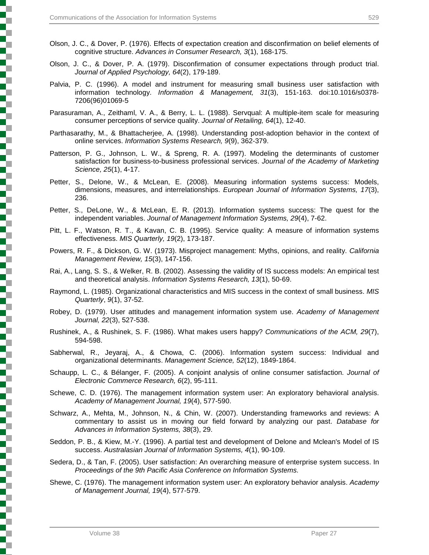- Olson, J. C., & Dover, P. (1976). Effects of expectation creation and disconfirmation on belief elements of cognitive structure. *Advances in Consumer Research, 3*(1), 168-175.
- Olson, J. C., & Dover, P. A. (1979). Disconfirmation of consumer expectations through product trial. *Journal of Applied Psychology, 64*(2), 179-189.
- Palvia, P. C. (1996). A model and instrument for measuring small business user satisfaction with information technology. *Information & Management, 31*(3), 151-163. doi:10.1016/s0378- 7206(96)01069-5
- Parasuraman, A., Zeithaml, V. A., & Berry, L. L. (1988). Servqual: A multiple-item scale for measuring consumer perceptions of service quality. *Journal of Retailing, 64*(1), 12-40.
- Parthasarathy, M., & Bhattacherjee, A. (1998). Understanding post-adoption behavior in the context of online services. *Information Systems Research, 9*(9), 362-379.
- Patterson, P. G., Johnson, L. W., & Spreng, R. A. (1997). Modeling the determinants of customer satisfaction for business-to-business professional services. *Journal of the Academy of Marketing Science, 25*(1), 4-17.
- Petter, S., Delone, W., & McLean, E. (2008). Measuring information systems success: Models, dimensions, measures, and interrelationships. *European Journal of Information Systems, 17*(3), 236.
- Petter, S., DeLone, W., & McLean, E. R. (2013). Information systems success: The quest for the independent variables. *Journal of Management Information Systems, 29*(4), 7-62.
- Pitt, L. F., Watson, R. T., & Kavan, C. B. (1995). Service quality: A measure of information systems effectiveness. *MIS Quarterly, 19*(2), 173-187.
- Powers, R. F., & Dickson, G. W. (1973). Misproject management: Myths, opinions, and reality. *California Management Review, 15*(3), 147-156.
- Rai, A., Lang, S. S., & Welker, R. B. (2002). Assessing the validity of IS success models: An empirical test and theoretical analysis. *Information Systems Research, 13*(1), 50-69.
- Raymond, L. (1985). Organizational characteristics and MIS success in the context of small business. *MIS Quarterly*, *9*(1), 37-52.
- Robey, D. (1979). User attitudes and management information system use. *Academy of Management Journal, 22*(3), 527-538.
- Rushinek, A., & Rushinek, S. F. (1986). What makes users happy? *Communications of the ACM, 29*(7), 594-598.
- Sabherwal, R., Jeyaraj, A., & Chowa, C. (2006). Information system success: Individual and organizational determinants. *Management Science, 52*(12), 1849-1864.
- Schaupp, L. C., & Bélanger, F. (2005). A conjoint analysis of online consumer satisfaction. *Journal of Electronic Commerce Research, 6*(2), 95-111.
- Schewe, C. D. (1976). The management information system user: An exploratory behavioral analysis. *Academy of Management Journal, 19*(4), 577-590.
- Schwarz, A., Mehta, M., Johnson, N., & Chin, W. (2007). Understanding frameworks and reviews: A commentary to assist us in moving our field forward by analyzing our past. *Database for Advances in Information Systems, 38*(3), 29.
- Seddon, P. B., & Kiew, M.-Y. (1996). A partial test and development of Delone and Mclean's Model of IS success. *Australasian Journal of Information Systems, 4*(1), 90-109.
- Sedera, D., & Tan, F. (2005). User satisfaction: An overarching measure of enterprise system success. In *Proceedings of the 9th Pacific Asia Conference on Information Systems.*
- Shewe, C. (1976). The management information system user: An exploratory behavior analysis. *Academy of Management Journal, 19*(4), 577-579.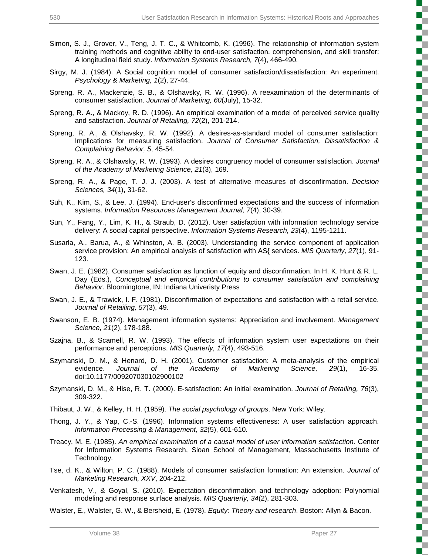$\mathbb{R}^n$ 

is a constant of the constant of the constant of the constant of the constant of the constant of the constant of the constant of the constant of the constant of the constant of the constant of the constant of the constant

æ

į

どうかん かんかん かんかん

t

i

c

ş

į

- Simon, S. J., Grover, V., Teng, J. T. C., & Whitcomb, K. (1996). The relationship of information system training methods and cognitive ability to end-user satisfaction, comprehension, and skill transfer: A longitudinal field study. *Information Systems Research, 7*(4), 466-490.
- Sirgy, M. J. (1984). A Social cognition model of consumer satisfaction/dissatisfaction: An experiment. *Psychology & Marketing, 1*(2), 27-44.
- Spreng, R. A., Mackenzie, S. B., & Olshavsky, R. W. (1996). A reexamination of the determinants of consumer satisfaction. *Journal of Marketing, 60*(July), 15-32.
- Spreng, R. A., & Mackoy, R. D. (1996). An empirical examination of a model of perceived service quality and satisfaction. *Journal of Retailing, 72*(2), 201-214.
- Spreng, R. A., & Olshavsky, R. W. (1992). A desires-as-standard model of consumer satisfaction: Implications for measuring satisfaction. *Journal of Consumer Satisfaction, Dissatisfaction & Complaining Behavior, 5*, 45-54.
- Spreng, R. A., & Olshavsky, R. W. (1993). A desires congruency model of consumer satisfaction. *Journal of the Academy of Marketing Science, 21*(3), 169.
- Spreng, R. A., & Page, T. J. J. (2003). A test of alternative measures of disconfirmation. *Decision Sciences, 34*(1), 31-62.
- Suh, K., Kim, S., & Lee, J. (1994). End-user's disconfirmed expectations and the success of information systems. *Information Resources Management Journal, 7*(4), 30-39.
- Sun, Y., Fang, Y., Lim, K. H., & Straub, D. (2012). User satisfaction with information technology service delivery: A social capital perspective. *Information Systems Research, 23*(4), 1195-1211.
- Susarla, A., Barua, A., & Whinston, A. B. (2003). Understanding the service component of application service provision: An empirical analysis of satisfaction with AS{ services. *MIS Quarterly, 27*(1), 91- 123.
- Swan, J. E. (1982). Consumer satisfaction as function of equity and disconfirmation. In H. K. Hunt & R. L. Day (Eds.), *Conceptual and emprical contributions to consumer satisfaction and complaining Behavior*. Bloomingtone, IN: Indiana Univeristy Press
- Swan, J. E., & Trawick, I. F. (1981). Disconfirmation of expectations and satisfaction with a retail service. *Journal of Retailing, 57*(3), 49.
- Swanson, E. B. (1974). Management information systems: Appreciation and involvement. *Management Science, 21*(2), 178-188.
- Szajna, B., & Scamell, R. W. (1993). The effects of information system user expectations on their performance and perceptions. *MIS Quarterly, 17*(4), 493-516.
- Szymanski, D. M., & Henard, D. H. (2001). Customer satisfaction: A meta-analysis of the empirical evidence. *Journal of the Academy of Marketing Science, 29*(1), 16-35. doi:10.1177/009207030102900102
- Szymanski, D. M., & Hise, R. T. (2000). E-satisfaction: An initial examination. *Journal of Retailing, 76*(3), 309-322.
- Thibaut, J. W., & Kelley, H. H. (1959). *The social psychology of groups*. New York: Wiley.
- Thong, J. Y., & Yap, C.-S. (1996). Information systems effectiveness: A user satisfaction approach. *Information Processing & Management, 32*(5), 601-610.
- Treacy, M. E. (1985). *An empirical examination of a causal model of user information satisfaction*. Center for Information Systems Research, Sloan School of Management, Massachusetts Institute of Technology.
- Tse, d. K., & Wilton, P. C. (1988). Models of consumer satisfaction formation: An extension. *Journal of Marketing Research, XXV*, 204-212.
- Venkatesh, V., & Goyal, S. (2010). Expectation disconfirmation and technology adoption: Polynomial modeling and response surface analysis. *MIS Quarterly, 34*(2), 281-303.
- Walster, E., Walster, G. W., & Bersheid, E. (1978). *Equity: Theory and research*. Boston: Allyn & Bacon.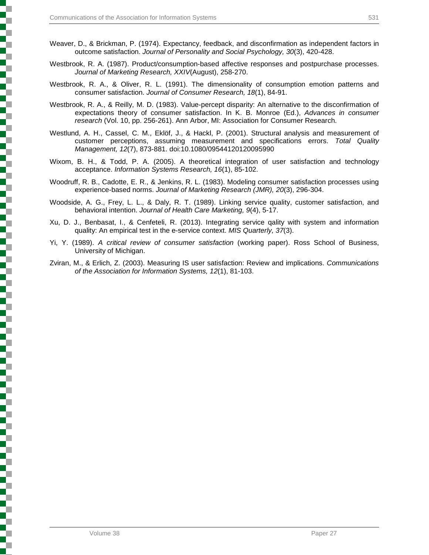- Weaver, D., & Brickman, P. (1974). Expectancy, feedback, and disconfirmation as independent factors in outcome satisfaction. *Journal of Personality and Social Psychology, 30*(3), 420-428.
- Westbrook, R. A. (1987). Product/consumption-based affective responses and postpurchase processes. *Journal of Marketing Research, XXIV*(August), 258-270.
- Westbrook, R. A., & Oliver, R. L. (1991). The dimensionality of consumption emotion patterns and consumer satisfaction. *Journal of Consumer Research, 18*(1), 84-91.
- Westbrook, R. A., & Reilly, M. D. (1983). Value-percept disparity: An alternative to the disconfirmation of expectations theory of consumer satisfaction. In K. B. Monroe (Ed.), *Advances in consumer research* (Vol. 10, pp. 256-261). Ann Arbor, MI: Association for Consumer Research.
- Westlund, A. H., Cassel, C. M., Eklöf, J., & Hackl, P. (2001). Structural analysis and measurement of customer perceptions, assuming measurement and specifications errors. *Total Quality Management, 12*(7), 873-881. doi:10.1080/09544120120095990
- Wixom, B. H., & Todd, P. A. (2005). A theoretical integration of user satisfaction and technology acceptance. *Information Systems Research, 16*(1), 85-102.
- Woodruff, R. B., Cadotte, E. R., & Jenkins, R. L. (1983). Modeling consumer satisfaction processes using experience-based norms. *Journal of Marketing Research (JMR), 20*(3), 296-304.
- Woodside, A. G., Frey, L. L., & Daly, R. T. (1989). Linking service quality, customer satisfaction, and behavioral intention. *Journal of Health Care Marketing, 9*(4), 5-17.
- Xu, D. J., Benbasat, I., & Cenfeteli, R. (2013). Integrating service qality with system and information quality: An empirical test in the e-service context. *MIS Quarterly, 37*(3).
- Yi, Y. (1989). *A critical review of consumer satisfaction* (working paper). Ross School of Business, University of Michigan.
- Zviran, M., & Erlich, Z. (2003). Measuring IS user satisfaction: Review and implications. *Communications of the Association for Information Systems, 12*(1), 81-103.